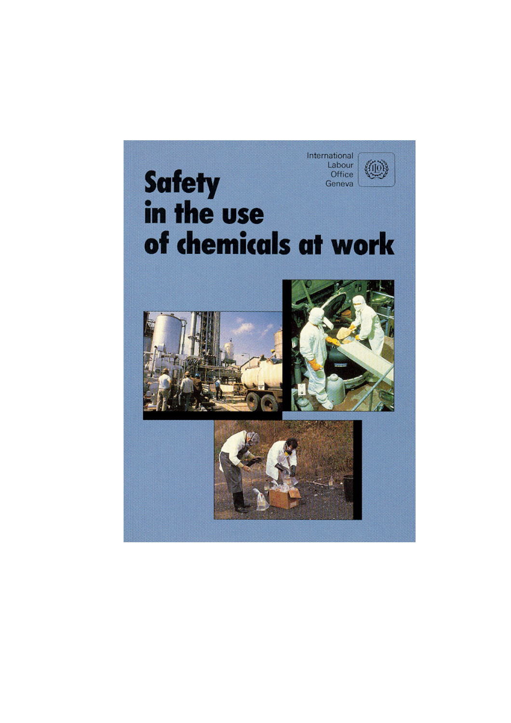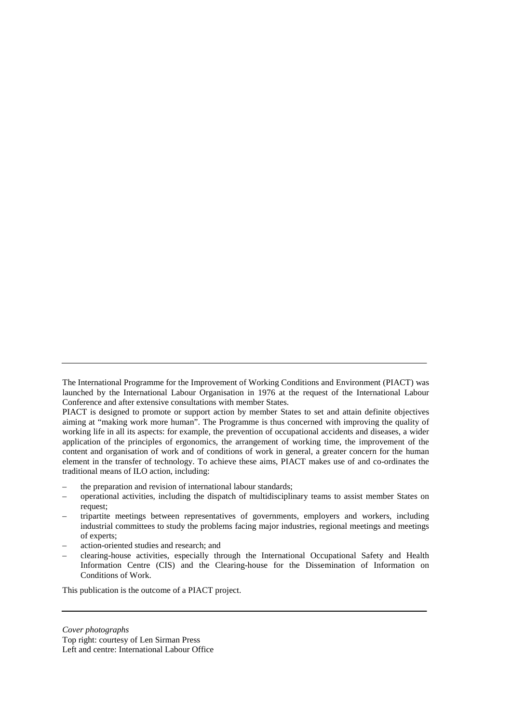PIACT is designed to promote or support action by member States to set and attain definite objectives aiming at "making work more human". The Programme is thus concerned with improving the quality of working life in all its aspects: for example, the prevention of occupational accidents and diseases, a wider application of the principles of ergonomics, the arrangement of working time, the improvement of the content and organisation of work and of conditions of work in general, a greater concern for the human element in the transfer of technology. To achieve these aims, PIACT makes use of and co-ordinates the traditional means of ILO action, including:

- the preparation and revision of international labour standards;
- operational activities, including the dispatch of multidisciplinary teams to assist member States on request;
- tripartite meetings between representatives of governments, employers and workers, including industrial committees to study the problems facing major industries, regional meetings and meetings of experts;
- action-oriented studies and research; and
- clearing-house activities, especially through the International Occupational Safety and Health Information Centre (CIS) and the Clearing-house for the Dissemination of Information on Conditions of Work.

This publication is the outcome of a PIACT project.

*Cover photographs* Top right: courtesy of Len Sirman Press Left and centre: International Labour Office

The International Programme for the Improvement of Working Conditions and Environment (PIACT) was launched by the International Labour Organisation in 1976 at the request of the International Labour Conference and after extensive consultations with member States.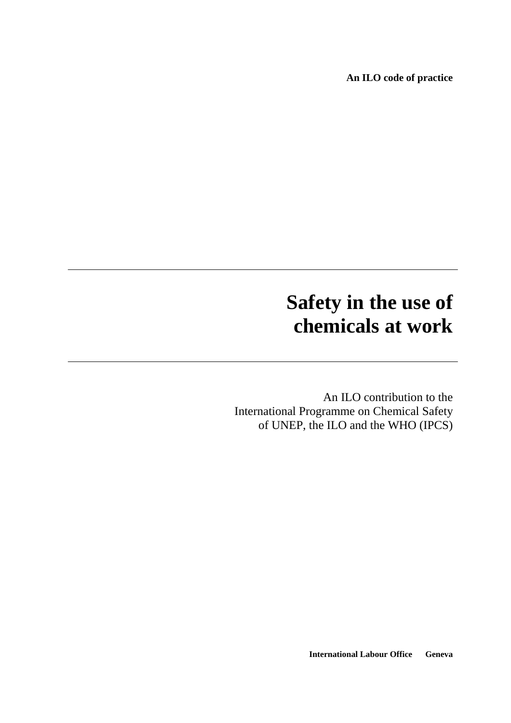**An ILO code of practice**

# **Safety in the use of chemicals at work**

An ILO contribution to the International Programme on Chemical Safety of UNEP, the ILO and the WHO (IPCS)

**International Labour Office Geneva**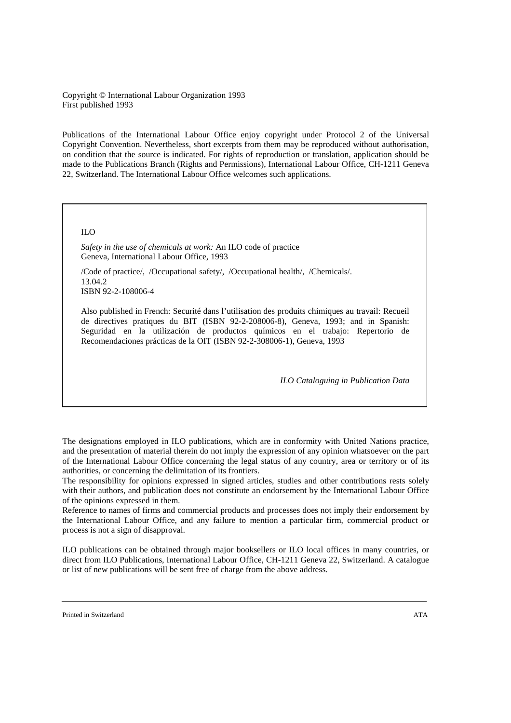Copyright © International Labour Organization 1993 First published 1993

Publications of the International Labour Office enjoy copyright under Protocol 2 of the Universal Copyright Convention. Nevertheless, short excerpts from them may be reproduced without authorisation, on condition that the source is indicated. For rights of reproduction or translation, application should be made to the Publications Branch (Rights and Permissions), International Labour Office, CH-1211 Geneva 22, Switzerland. The International Labour Office welcomes such applications.

ILO

*Safety in the use of chemicals at work:* An ILO code of practice Geneva, International Labour Office, 1993

/Code of practice/, /Occupational safety/, /Occupational health/, /Chemicals/. 13.04.2 ISBN 92-2-108006-4

Also published in French: Securité dans l'utilisation des produits chimiques au travail: Recueil de directives pratiques du BIT (ISBN 92-2-208006-8), Geneva, 1993; and in Spanish: Seguridad en la utilización de productos químicos en el trabajo: Repertorio de Recomendaciones prácticas de la OIT (ISBN 92-2-308006-1), Geneva, 1993

*ILO Cataloguing in Publication Data*

The designations employed in ILO publications, which are in conformity with United Nations practice, and the presentation of material therein do not imply the expression of any opinion whatsoever on the part of the International Labour Office concerning the legal status of any country, area or territory or of its authorities, or concerning the delimitation of its frontiers.

The responsibility for opinions expressed in signed articles, studies and other contributions rests solely with their authors, and publication does not constitute an endorsement by the International Labour Office of the opinions expressed in them.

Reference to names of firms and commercial products and processes does not imply their endorsement by the International Labour Office, and any failure to mention a particular firm, commercial product or process is not a sign of disapproval.

ILO publications can be obtained through major booksellers or ILO local offices in many countries, or direct from ILO Publications, International Labour Office, CH-1211 Geneva 22, Switzerland. A catalogue or list of new publications will be sent free of charge from the above address.

Printed in Switzerland **ATA** and the state of the state of the state of the state of the state of the state of the state of the state of the state of the state of the state of the state of the state of the state of the sta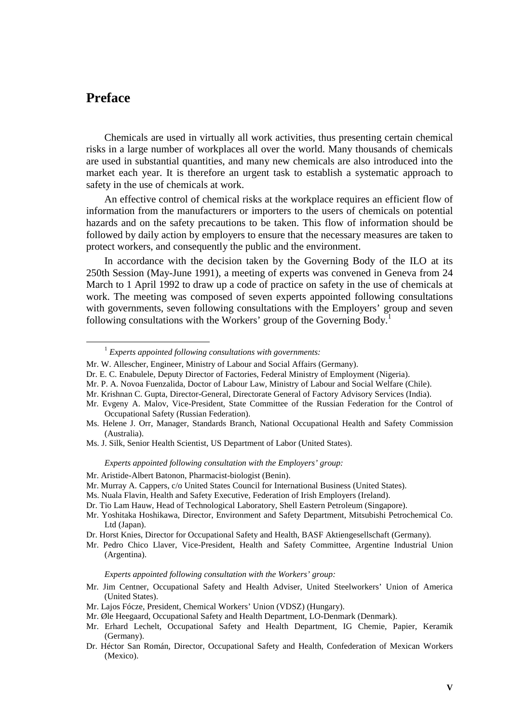## <span id="page-6-0"></span>**Preface**

Chemicals are used in virtually all work activities, thus presenting certain chemical risks in a large number of workplaces all over the world. Many thousands of chemicals are used in substantial quantities, and many new chemicals are also introduced into the market each year. It is therefore an urgent task to establish a systematic approach to safety in the use of chemicals at work.

An effective control of chemical risks at the workplace requires an efficient flow of information from the manufacturers or importers to the users of chemicals on potential hazards and on the safety precautions to be taken. This flow of information should be followed by daily action by employers to ensure that the necessary measures are taken to protect workers, and consequently the public and the environment.

In accordance with the decision taken by the Governing Body of the ILO at its 250th Session (May-June 1991), a meeting of experts was convened in Geneva from 24 March to 1 April 1992 to draw up a code of practice on safety in the use of chemicals at work. The meeting was composed of seven experts appointed following consultations with governments, seven following consultations with the Employers' group and seven following consultations with the Workers' group of the Governing Body.<sup>1</sup>

Ms. J. Silk, Senior Health Scientist, US Department of Labor (United States).

*Experts appointed following consultation with the Employers' group:*

- Mr. Aristide-Albert Batonon, Pharmacist-biologist (Benin).
- Mr. Murray A. Cappers, c/o United States Council for International Business (United States).
- Ms. Nuala Flavin, Health and Safety Executive, Federation of Irish Employers (Ireland).
- Dr. Tio Lam Hauw, Head of Technological Laboratory, Shell Eastern Petroleum (Singapore).
- Mr. Yoshitaka Hoshikawa, Director, Environment and Safety Department, Mitsubishi Petrochemical Co. Ltd (Japan).
- Dr. Horst Knies, Director for Occupational Safety and Health, BASF Aktiengesellschaft (Germany).
- Mr. Pedro Chico Llaver, Vice-President, Health and Safety Committee, Argentine Industrial Union (Argentina).

*Experts appointed following consultation with the Workers' group:*

- Mr. Jim Centner, Occupational Safety and Health Adviser, United Steelworkers' Union of America (United States).
- Mr. Lajos Fócze, President, Chemical Workers' Union (VDSZ) (Hungary).
- Mr. Øle Heegaard, Occupational Safety and Health Department, LO-Denmark (Denmark).
- Mr. Erhard Lechelt, Occupational Safety and Health Department, IG Chemie, Papier, Keramik (Germany).
- Dr. Héctor San Román, Director, Occupational Safety and Health, Confederation of Mexican Workers (Mexico).

 <sup>1</sup> *Experts appointed following consultations with governments:*

Mr. W. Allescher, Engineer, Ministry of Labour and Social Affairs (Germany).

Dr. E. C. Enabulele, Deputy Director of Factories, Federal Ministry of Employment (Nigeria).

Mr. P. A. Novoa Fuenzalida, Doctor of Labour Law, Ministry of Labour and Social Welfare (Chile).

Mr. Krishnan C. Gupta, Director-General, Directorate General of Factory Advisory Services (India).

Mr. Evgeny A. Malov, Vice-President, State Committee of the Russian Federation for the Control of Occupational Safety (Russian Federation).

Ms. Helene J. Orr, Manager, Standards Branch, National Occupational Health and Safety Commission (Australia).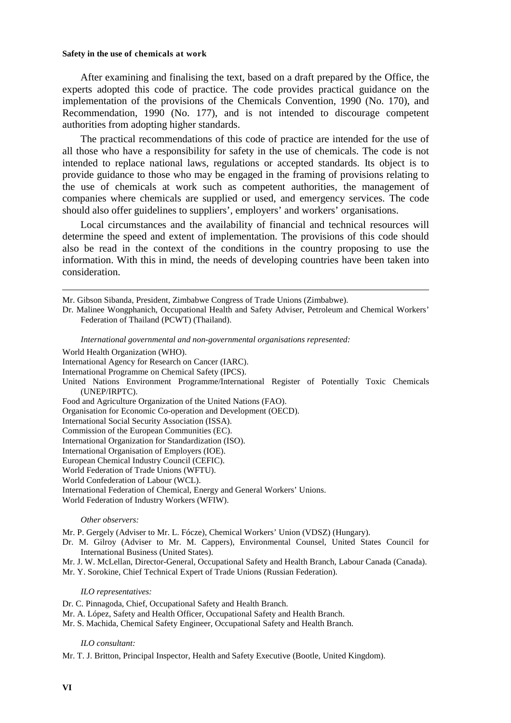After examining and finalising the text, based on a draft prepared by the Office, the experts adopted this code of practice. The code provides practical guidance on the implementation of the provisions of the Chemicals Convention, 1990 (No. 170), and Recommendation, 1990 (No. 177), and is not intended to discourage competent authorities from adopting higher standards.

The practical recommendations of this code of practice are intended for the use of all those who have a responsibility for safety in the use of chemicals. The code is not intended to replace national laws, regulations or accepted standards. Its object is to provide guidance to those who may be engaged in the framing of provisions relating to the use of chemicals at work such as competent authorities, the management of companies where chemicals are supplied or used, and emergency services. The code should also offer guidelines to suppliers', employers' and workers' organisations.

Local circumstances and the availability of financial and technical resources will determine the speed and extent of implementation. The provisions of this code should also be read in the context of the conditions in the country proposing to use the information. With this in mind, the needs of developing countries have been taken into consideration.

*International governmental and non-governmental organisations represented:*

World Health Organization (WHO).

1

- International Agency for Research on Cancer (IARC).
- International Programme on Chemical Safety (IPCS).
- United Nations Environment Programme/International Register of Potentially Toxic Chemicals (UNEP/IRPTC).
- Food and Agriculture Organization of the United Nations (FAO).
- Organisation for Economic Co-operation and Development (OECD).

International Social Security Association (ISSA).

Commission of the European Communities (EC).

International Organization for Standardization (ISO).

International Organisation of Employers (IOE).

- European Chemical Industry Council (CEFIC).
- World Federation of Trade Unions (WFTU).

World Confederation of Labour (WCL).

International Federation of Chemical, Energy and General Workers' Unions.

World Federation of Industry Workers (WFIW).

#### *Other observers:*

Mr. P. Gergely (Adviser to Mr. L. Fócze), Chemical Workers' Union (VDSZ) (Hungary).

- Dr. M. Gilroy (Adviser to Mr. M. Cappers), Environmental Counsel, United States Council for International Business (United States).
- Mr. J. W. McLellan, Director-General, Occupational Safety and Health Branch, Labour Canada (Canada).
- Mr. Y. Sorokine, Chief Technical Expert of Trade Unions (Russian Federation).

#### *ILO representatives:*

Dr. C. Pinnagoda, Chief, Occupational Safety and Health Branch.

- Mr. A. López, Safety and Health Officer, Occupational Safety and Health Branch.
- Mr. S. Machida, Chemical Safety Engineer, Occupational Safety and Health Branch.

#### *ILO consultant:*

Mr. T. J. Britton, Principal Inspector, Health and Safety Executive (Bootle, United Kingdom).

Mr. Gibson Sibanda, President, Zimbabwe Congress of Trade Unions (Zimbabwe).

Dr. Malinee Wongphanich, Occupational Health and Safety Adviser, Petroleum and Chemical Workers' Federation of Thailand (PCWT) (Thailand).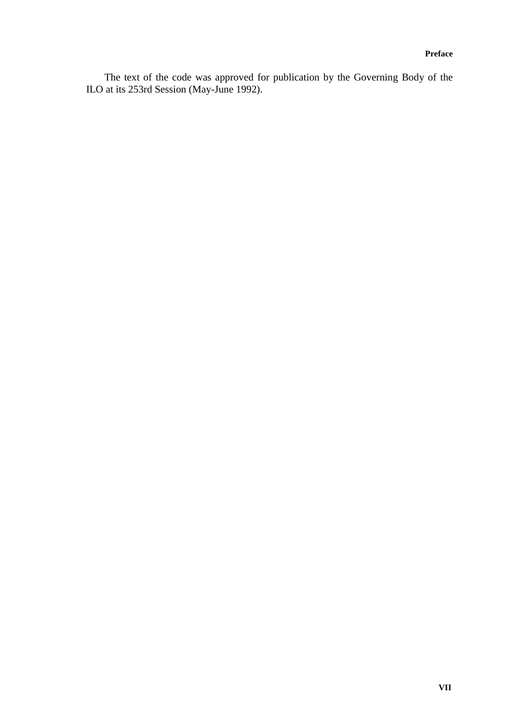The text of the code was approved for publication by the Governing Body of the ILO at its 253rd Session (May-June 1992).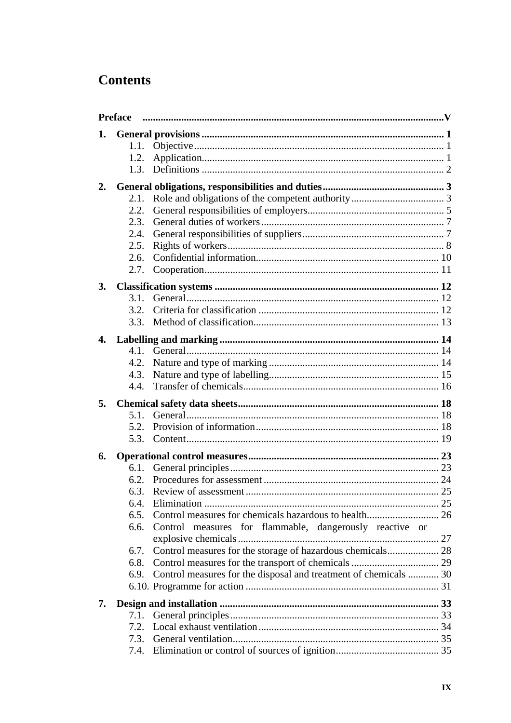## **Contents**

|    | <b>Preface</b> |                                                                  |  |
|----|----------------|------------------------------------------------------------------|--|
| 1. |                |                                                                  |  |
|    | 1.1.           |                                                                  |  |
|    | 1.2.           |                                                                  |  |
|    | 1.3.           |                                                                  |  |
| 2. |                |                                                                  |  |
|    | 2.1.           |                                                                  |  |
|    | 2.2.           |                                                                  |  |
|    | 2.3.           |                                                                  |  |
|    | 2.4.           |                                                                  |  |
|    | 2.5.           |                                                                  |  |
|    | 2.6.           |                                                                  |  |
|    | 2.7.           |                                                                  |  |
| 3. |                |                                                                  |  |
|    | $3.1$ .        |                                                                  |  |
|    | 3.2.           |                                                                  |  |
|    | 3.3.           |                                                                  |  |
| 4. |                |                                                                  |  |
|    | 4.1.           |                                                                  |  |
|    | 4.2.           |                                                                  |  |
|    | 4.3.           |                                                                  |  |
|    | 4.4            |                                                                  |  |
| 5. |                |                                                                  |  |
|    | 5.1.           |                                                                  |  |
|    | 5.2.           |                                                                  |  |
|    | 5.3.           |                                                                  |  |
|    |                |                                                                  |  |
| 6. | 6.1.           |                                                                  |  |
|    | 6.2.           |                                                                  |  |
|    |                |                                                                  |  |
|    | 6.4.           |                                                                  |  |
|    | 6.5.           |                                                                  |  |
|    | 6.6.           | Control measures for flammable, dangerously reactive or          |  |
|    |                |                                                                  |  |
|    | 6.7.           | Control measures for the storage of hazardous chemicals 28       |  |
|    | 6.8.           |                                                                  |  |
|    | 6.9.           | Control measures for the disposal and treatment of chemicals  30 |  |
|    |                |                                                                  |  |
| 7. |                |                                                                  |  |
|    | 7.1.           |                                                                  |  |
|    | 7.2.           |                                                                  |  |
|    |                |                                                                  |  |
|    |                |                                                                  |  |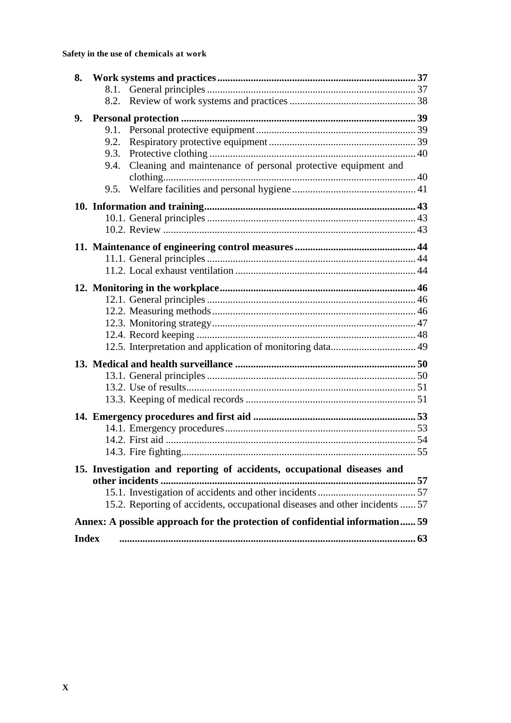| 8.                                                                           |      |                                                                             |  |  |  |
|------------------------------------------------------------------------------|------|-----------------------------------------------------------------------------|--|--|--|
|                                                                              |      |                                                                             |  |  |  |
|                                                                              |      |                                                                             |  |  |  |
| 9.                                                                           |      |                                                                             |  |  |  |
|                                                                              |      |                                                                             |  |  |  |
|                                                                              | 9.2. |                                                                             |  |  |  |
|                                                                              | 9.3. |                                                                             |  |  |  |
|                                                                              |      | 9.4. Cleaning and maintenance of personal protective equipment and          |  |  |  |
|                                                                              |      |                                                                             |  |  |  |
|                                                                              |      |                                                                             |  |  |  |
|                                                                              |      |                                                                             |  |  |  |
|                                                                              |      |                                                                             |  |  |  |
|                                                                              |      |                                                                             |  |  |  |
|                                                                              |      |                                                                             |  |  |  |
|                                                                              |      |                                                                             |  |  |  |
|                                                                              |      |                                                                             |  |  |  |
|                                                                              |      |                                                                             |  |  |  |
|                                                                              |      |                                                                             |  |  |  |
|                                                                              |      |                                                                             |  |  |  |
|                                                                              |      |                                                                             |  |  |  |
|                                                                              |      |                                                                             |  |  |  |
|                                                                              |      |                                                                             |  |  |  |
|                                                                              |      |                                                                             |  |  |  |
|                                                                              |      |                                                                             |  |  |  |
|                                                                              |      |                                                                             |  |  |  |
|                                                                              |      |                                                                             |  |  |  |
|                                                                              |      |                                                                             |  |  |  |
|                                                                              |      |                                                                             |  |  |  |
|                                                                              |      |                                                                             |  |  |  |
|                                                                              |      |                                                                             |  |  |  |
|                                                                              |      | 15. Investigation and reporting of accidents, occupational diseases and     |  |  |  |
|                                                                              |      | other incidents.                                                            |  |  |  |
|                                                                              |      |                                                                             |  |  |  |
|                                                                              |      | 15.2. Reporting of accidents, occupational diseases and other incidents  57 |  |  |  |
| Annex: A possible approach for the protection of confidential information 59 |      |                                                                             |  |  |  |
| <b>Index</b>                                                                 |      |                                                                             |  |  |  |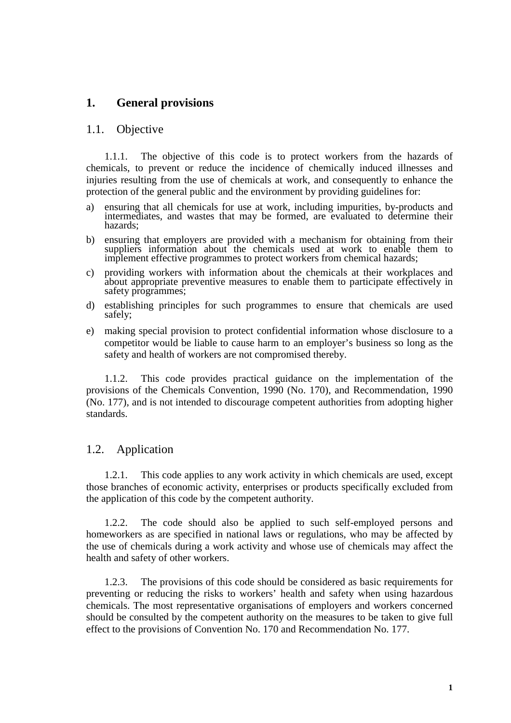## <span id="page-12-0"></span>**1. General provisions**

#### 1.1. Objective

1.1.1. The objective of this code is to protect workers from the hazards of chemicals, to prevent or reduce the incidence of chemically induced illnesses and injuries resulting from the use of chemicals at work, and consequently to enhance the protection of the general public and the environment by providing guidelines for:

- a) ensuring that all chemicals for use at work, including impurities, by-products and intermediates, and wastes that may be formed, are evaluated to determine their hazards;
- b) ensuring that employers are provided with a mechanism for obtaining from their suppliers information about the chemicals used at work to enable them to implement effective programmes to protect workers from chemical hazards;
- c) providing workers with information about the chemicals at their workplaces and about appropriate preventive measures to enable them to participate effectively in safety programmes:
- d) establishing principles for such programmes to ensure that chemicals are used safely;
- e) making special provision to protect confidential information whose disclosure to a competitor would be liable to cause harm to an employer's business so long as the safety and health of workers are not compromised thereby.

1.1.2. This code provides practical guidance on the implementation of the provisions of the Chemicals Convention, 1990 (No. 170), and Recommendation, 1990 (No. 177), and is not intended to discourage competent authorities from adopting higher standards.

## 1.2. Application

1.2.1. This code applies to any work activity in which chemicals are used, except those branches of economic activity, enterprises or products specifically excluded from the application of this code by the competent authority.

1.2.2. The code should also be applied to such self-employed persons and homeworkers as are specified in national laws or regulations, who may be affected by the use of chemicals during a work activity and whose use of chemicals may affect the health and safety of other workers.

1.2.3. The provisions of this code should be considered as basic requirements for preventing or reducing the risks to workers' health and safety when using hazardous chemicals. The most representative organisations of employers and workers concerned should be consulted by the competent authority on the measures to be taken to give full effect to the provisions of Convention No. 170 and Recommendation No. 177.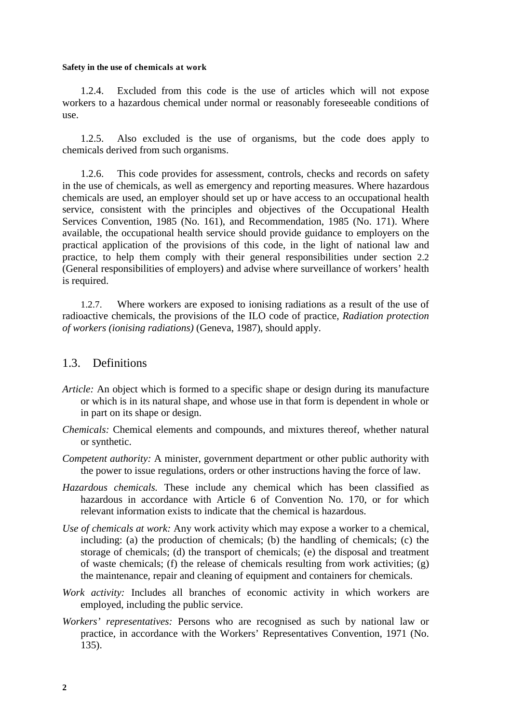<span id="page-13-0"></span>1.2.4. Excluded from this code is the use of articles which will not expose workers to a hazardous chemical under normal or reasonably foreseeable conditions of use.

1.2.5. Also excluded is the use of organisms, but the code does apply to chemicals derived from such organisms.

1.2.6. This code provides for assessment, controls, checks and records on safety in the use of chemicals, as well as emergency and reporting measures. Where hazardous chemicals are used, an employer should set up or have access to an occupational health service, consistent with the principles and objectives of the Occupational Health Services Convention, 1985 (No. 161), and Recommendation, 1985 (No. 171). Where available, the occupational health service should provide guidance to employers on the practical application of the provisions of this code, in the light of national law and practice, to help them comply with their general responsibilities under section 2.2 (General responsibilities of employers) and advise where surveillance of workers' health is required.

1.2.7. Where workers are exposed to ionising radiations as a result of the use of radioactive chemicals, the provisions of the ILO code of practice, *Radiation protection of workers (ionising radiations)* (Geneva, 1987), should apply.

## 1.3. Definitions

- *Article:* An object which is formed to a specific shape or design during its manufacture or which is in its natural shape, and whose use in that form is dependent in whole or in part on its shape or design.
- *Chemicals:* Chemical elements and compounds, and mixtures thereof, whether natural or synthetic.
- *Competent authority:* A minister, government department or other public authority with the power to issue regulations, orders or other instructions having the force of law.
- *Hazardous chemicals.* These include any chemical which has been classified as hazardous in accordance with Article 6 of Convention No. 170, or for which relevant information exists to indicate that the chemical is hazardous.
- *Use of chemicals at work:* Any work activity which may expose a worker to a chemical, including: (a) the production of chemicals; (b) the handling of chemicals; (c) the storage of chemicals; (d) the transport of chemicals; (e) the disposal and treatment of waste chemicals; (f) the release of chemicals resulting from work activities; (g) the maintenance, repair and cleaning of equipment and containers for chemicals.
- *Work activity:* Includes all branches of economic activity in which workers are employed, including the public service.
- *Workers' representatives:* Persons who are recognised as such by national law or practice, in accordance with the Workers' Representatives Convention, 1971 (No. 135).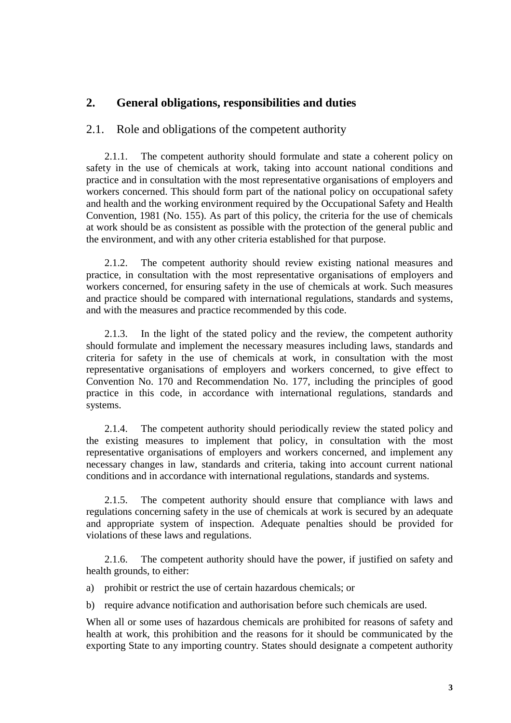## <span id="page-14-0"></span>**2. General obligations, responsibilities and duties**

## 2.1. Role and obligations of the competent authority

2.1.1. The competent authority should formulate and state a coherent policy on safety in the use of chemicals at work, taking into account national conditions and practice and in consultation with the most representative organisations of employers and workers concerned. This should form part of the national policy on occupational safety and health and the working environment required by the Occupational Safety and Health Convention, 1981 (No. 155). As part of this policy, the criteria for the use of chemicals at work should be as consistent as possible with the protection of the general public and the environment, and with any other criteria established for that purpose.

2.1.2. The competent authority should review existing national measures and practice, in consultation with the most representative organisations of employers and workers concerned, for ensuring safety in the use of chemicals at work. Such measures and practice should be compared with international regulations, standards and systems, and with the measures and practice recommended by this code.

2.1.3. In the light of the stated policy and the review, the competent authority should formulate and implement the necessary measures including laws, standards and criteria for safety in the use of chemicals at work, in consultation with the most representative organisations of employers and workers concerned, to give effect to Convention No. 170 and Recommendation No. 177, including the principles of good practice in this code, in accordance with international regulations, standards and systems.

2.1.4. The competent authority should periodically review the stated policy and the existing measures to implement that policy, in consultation with the most representative organisations of employers and workers concerned, and implement any necessary changes in law, standards and criteria, taking into account current national conditions and in accordance with international regulations, standards and systems.

2.1.5. The competent authority should ensure that compliance with laws and regulations concerning safety in the use of chemicals at work is secured by an adequate and appropriate system of inspection. Adequate penalties should be provided for violations of these laws and regulations.

2.1.6. The competent authority should have the power, if justified on safety and health grounds, to either:

a) prohibit or restrict the use of certain hazardous chemicals; or

b) require advance notification and authorisation before such chemicals are used.

When all or some uses of hazardous chemicals are prohibited for reasons of safety and health at work, this prohibition and the reasons for it should be communicated by the exporting State to any importing country. States should designate a competent authority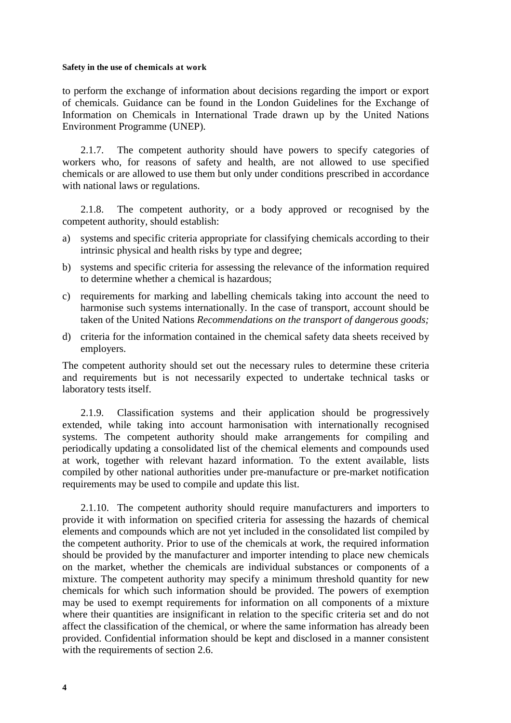to perform the exchange of information about decisions regarding the import or export of chemicals. Guidance can be found in the London Guidelines for the Exchange of Information on Chemicals in International Trade drawn up by the United Nations Environment Programme (UNEP).

2.1.7. The competent authority should have powers to specify categories of workers who, for reasons of safety and health, are not allowed to use specified chemicals or are allowed to use them but only under conditions prescribed in accordance with national laws or regulations.

2.1.8. The competent authority, or a body approved or recognised by the competent authority, should establish:

- a) systems and specific criteria appropriate for classifying chemicals according to their intrinsic physical and health risks by type and degree;
- b) systems and specific criteria for assessing the relevance of the information required to determine whether a chemical is hazardous;
- c) requirements for marking and labelling chemicals taking into account the need to harmonise such systems internationally. In the case of transport, account should be taken of the United Nations *Recommendations on the transport of dangerous goods;*
- d) criteria for the information contained in the chemical safety data sheets received by employers.

The competent authority should set out the necessary rules to determine these criteria and requirements but is not necessarily expected to undertake technical tasks or laboratory tests itself.

2.1.9. Classification systems and their application should be progressively extended, while taking into account harmonisation with internationally recognised systems. The competent authority should make arrangements for compiling and periodically updating a consolidated list of the chemical elements and compounds used at work, together with relevant hazard information. To the extent available, lists compiled by other national authorities under pre-manufacture or pre-market notification requirements may be used to compile and update this list.

2.1.10. The competent authority should require manufacturers and importers to provide it with information on specified criteria for assessing the hazards of chemical elements and compounds which are not yet included in the consolidated list compiled by the competent authority. Prior to use of the chemicals at work, the required information should be provided by the manufacturer and importer intending to place new chemicals on the market, whether the chemicals are individual substances or components of a mixture. The competent authority may specify a minimum threshold quantity for new chemicals for which such information should be provided. The powers of exemption may be used to exempt requirements for information on all components of a mixture where their quantities are insignificant in relation to the specific criteria set and do not affect the classification of the chemical, or where the same information has already been provided. Confidential information should be kept and disclosed in a manner consistent with the requirements of section 2.6.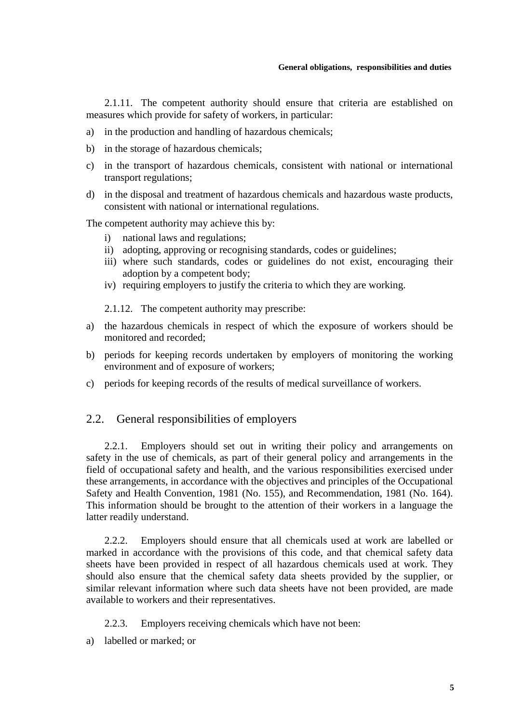<span id="page-16-0"></span>2.1.11. The competent authority should ensure that criteria are established on measures which provide for safety of workers, in particular:

- a) in the production and handling of hazardous chemicals;
- b) in the storage of hazardous chemicals;
- c) in the transport of hazardous chemicals, consistent with national or international transport regulations;
- d) in the disposal and treatment of hazardous chemicals and hazardous waste products, consistent with national or international regulations.

The competent authority may achieve this by:

- i) national laws and regulations;
- ii) adopting, approving or recognising standards, codes or guidelines;
- iii) where such standards, codes or guidelines do not exist, encouraging their adoption by a competent body;
- iv) requiring employers to justify the criteria to which they are working.

2.1.12. The competent authority may prescribe:

- a) the hazardous chemicals in respect of which the exposure of workers should be monitored and recorded;
- b) periods for keeping records undertaken by employers of monitoring the working environment and of exposure of workers;
- c) periods for keeping records of the results of medical surveillance of workers.

## 2.2. General responsibilities of employers

2.2.1. Employers should set out in writing their policy and arrangements on safety in the use of chemicals, as part of their general policy and arrangements in the field of occupational safety and health, and the various responsibilities exercised under these arrangements, in accordance with the objectives and principles of the Occupational Safety and Health Convention, 1981 (No. 155), and Recommendation, 1981 (No. 164). This information should be brought to the attention of their workers in a language the latter readily understand.

2.2.2. Employers should ensure that all chemicals used at work are labelled or marked in accordance with the provisions of this code, and that chemical safety data sheets have been provided in respect of all hazardous chemicals used at work. They should also ensure that the chemical safety data sheets provided by the supplier, or similar relevant information where such data sheets have not been provided, are made available to workers and their representatives.

- 2.2.3. Employers receiving chemicals which have not been:
- a) labelled or marked; or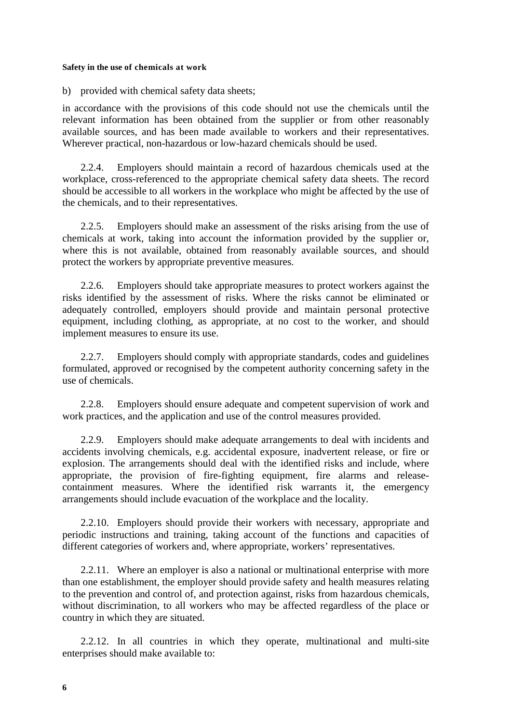b) provided with chemical safety data sheets;

in accordance with the provisions of this code should not use the chemicals until the relevant information has been obtained from the supplier or from other reasonably available sources, and has been made available to workers and their representatives. Wherever practical, non-hazardous or low-hazard chemicals should be used.

2.2.4. Employers should maintain a record of hazardous chemicals used at the workplace, cross-referenced to the appropriate chemical safety data sheets. The record should be accessible to all workers in the workplace who might be affected by the use of the chemicals, and to their representatives.

2.2.5. Employers should make an assessment of the risks arising from the use of chemicals at work, taking into account the information provided by the supplier or, where this is not available, obtained from reasonably available sources, and should protect the workers by appropriate preventive measures.

2.2.6. Employers should take appropriate measures to protect workers against the risks identified by the assessment of risks. Where the risks cannot be eliminated or adequately controlled, employers should provide and maintain personal protective equipment, including clothing, as appropriate, at no cost to the worker, and should implement measures to ensure its use.

2.2.7. Employers should comply with appropriate standards, codes and guidelines formulated, approved or recognised by the competent authority concerning safety in the use of chemicals.

2.2.8. Employers should ensure adequate and competent supervision of work and work practices, and the application and use of the control measures provided.

2.2.9. Employers should make adequate arrangements to deal with incidents and accidents involving chemicals, e.g. accidental exposure, inadvertent release, or fire or explosion. The arrangements should deal with the identified risks and include, where appropriate, the provision of fire-fighting equipment, fire alarms and releasecontainment measures. Where the identified risk warrants it, the emergency arrangements should include evacuation of the workplace and the locality.

2.2.10. Employers should provide their workers with necessary, appropriate and periodic instructions and training, taking account of the functions and capacities of different categories of workers and, where appropriate, workers' representatives.

2.2.11. Where an employer is also a national or multinational enterprise with more than one establishment, the employer should provide safety and health measures relating to the prevention and control of, and protection against, risks from hazardous chemicals, without discrimination, to all workers who may be affected regardless of the place or country in which they are situated.

2.2.12. In all countries in which they operate, multinational and multi-site enterprises should make available to: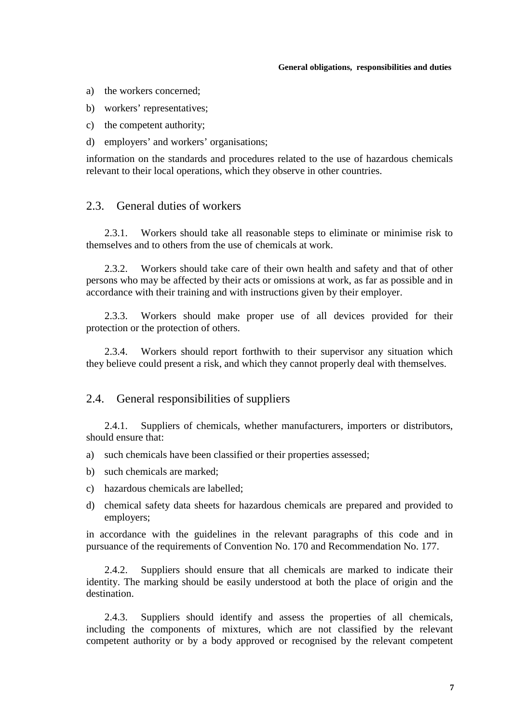#### **General obligations, responsibilities and duties**

- <span id="page-18-0"></span>a) the workers concerned;
- b) workers' representatives;
- c) the competent authority;
- d) employers' and workers' organisations;

information on the standards and procedures related to the use of hazardous chemicals relevant to their local operations, which they observe in other countries.

## 2.3. General duties of workers

2.3.1. Workers should take all reasonable steps to eliminate or minimise risk to themselves and to others from the use of chemicals at work.

2.3.2. Workers should take care of their own health and safety and that of other persons who may be affected by their acts or omissions at work, as far as possible and in accordance with their training and with instructions given by their employer.

2.3.3. Workers should make proper use of all devices provided for their protection or the protection of others.

2.3.4. Workers should report forthwith to their supervisor any situation which they believe could present a risk, and which they cannot properly deal with themselves.

#### 2.4. General responsibilities of suppliers

2.4.1. Suppliers of chemicals, whether manufacturers, importers or distributors, should ensure that:

- a) such chemicals have been classified or their properties assessed;
- b) such chemicals are marked;
- c) hazardous chemicals are labelled;
- d) chemical safety data sheets for hazardous chemicals are prepared and provided to employers;

in accordance with the guidelines in the relevant paragraphs of this code and in pursuance of the requirements of Convention No. 170 and Recommendation No. 177.

2.4.2. Suppliers should ensure that all chemicals are marked to indicate their identity. The marking should be easily understood at both the place of origin and the destination.

2.4.3. Suppliers should identify and assess the properties of all chemicals, including the components of mixtures, which are not classified by the relevant competent authority or by a body approved or recognised by the relevant competent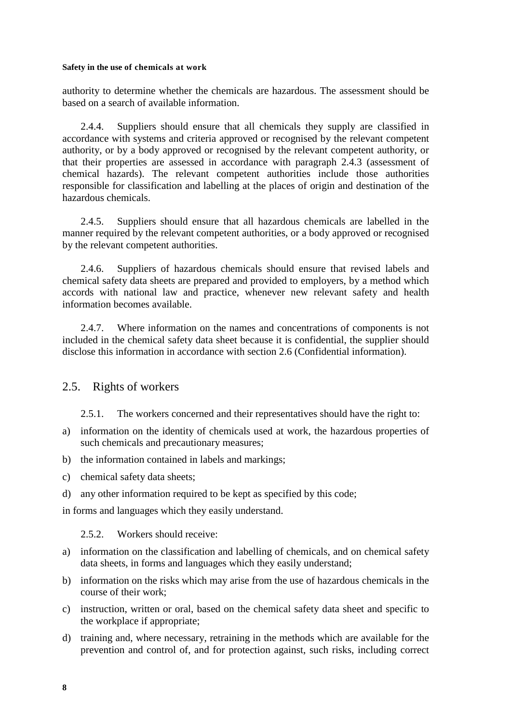<span id="page-19-0"></span>authority to determine whether the chemicals are hazardous. The assessment should be based on a search of available information.

2.4.4. Suppliers should ensure that all chemicals they supply are classified in accordance with systems and criteria approved or recognised by the relevant competent authority, or by a body approved or recognised by the relevant competent authority, or that their properties are assessed in accordance with paragraph 2.4.3 (assessment of chemical hazards). The relevant competent authorities include those authorities responsible for classification and labelling at the places of origin and destination of the hazardous chemicals.

2.4.5. Suppliers should ensure that all hazardous chemicals are labelled in the manner required by the relevant competent authorities, or a body approved or recognised by the relevant competent authorities.

2.4.6. Suppliers of hazardous chemicals should ensure that revised labels and chemical safety data sheets are prepared and provided to employers, by a method which accords with national law and practice, whenever new relevant safety and health information becomes available.

2.4.7. Where information on the names and concentrations of components is not included in the chemical safety data sheet because it is confidential, the supplier should disclose this information in accordance with section 2.6 (Confidential information).

## 2.5. Rights of workers

2.5.1. The workers concerned and their representatives should have the right to:

- a) information on the identity of chemicals used at work, the hazardous properties of such chemicals and precautionary measures;
- b) the information contained in labels and markings;
- c) chemical safety data sheets;
- d) any other information required to be kept as specified by this code;

in forms and languages which they easily understand.

#### 2.5.2. Workers should receive:

- a) information on the classification and labelling of chemicals, and on chemical safety data sheets, in forms and languages which they easily understand;
- b) information on the risks which may arise from the use of hazardous chemicals in the course of their work;
- c) instruction, written or oral, based on the chemical safety data sheet and specific to the workplace if appropriate;
- d) training and, where necessary, retraining in the methods which are available for the prevention and control of, and for protection against, such risks, including correct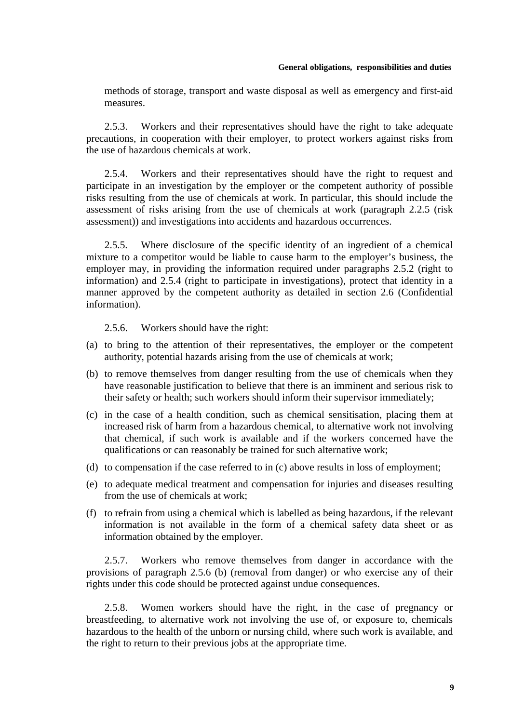#### **General obligations, responsibilities and duties**

methods of storage, transport and waste disposal as well as emergency and first-aid measures.

2.5.3. Workers and their representatives should have the right to take adequate precautions, in cooperation with their employer, to protect workers against risks from the use of hazardous chemicals at work.

2.5.4. Workers and their representatives should have the right to request and participate in an investigation by the employer or the competent authority of possible risks resulting from the use of chemicals at work. In particular, this should include the assessment of risks arising from the use of chemicals at work (paragraph 2.2.5 (risk assessment)) and investigations into accidents and hazardous occurrences.

2.5.5. Where disclosure of the specific identity of an ingredient of a chemical mixture to a competitor would be liable to cause harm to the employer's business, the employer may, in providing the information required under paragraphs 2.5.2 (right to information) and 2.5.4 (right to participate in investigations), protect that identity in a manner approved by the competent authority as detailed in section 2.6 (Confidential information).

2.5.6. Workers should have the right:

- (a) to bring to the attention of their representatives, the employer or the competent authority, potential hazards arising from the use of chemicals at work;
- (b) to remove themselves from danger resulting from the use of chemicals when they have reasonable justification to believe that there is an imminent and serious risk to their safety or health; such workers should inform their supervisor immediately;
- (c) in the case of a health condition, such as chemical sensitisation, placing them at increased risk of harm from a hazardous chemical, to alternative work not involving that chemical, if such work is available and if the workers concerned have the qualifications or can reasonably be trained for such alternative work;
- (d) to compensation if the case referred to in (c) above results in loss of employment;
- (e) to adequate medical treatment and compensation for injuries and diseases resulting from the use of chemicals at work;
- (f) to refrain from using a chemical which is labelled as being hazardous, if the relevant information is not available in the form of a chemical safety data sheet or as information obtained by the employer.

2.5.7. Workers who remove themselves from danger in accordance with the provisions of paragraph 2.5.6 (b) (removal from danger) or who exercise any of their rights under this code should be protected against undue consequences.

2.5.8. Women workers should have the right, in the case of pregnancy or breastfeeding, to alternative work not involving the use of, or exposure to, chemicals hazardous to the health of the unborn or nursing child, where such work is available, and the right to return to their previous jobs at the appropriate time.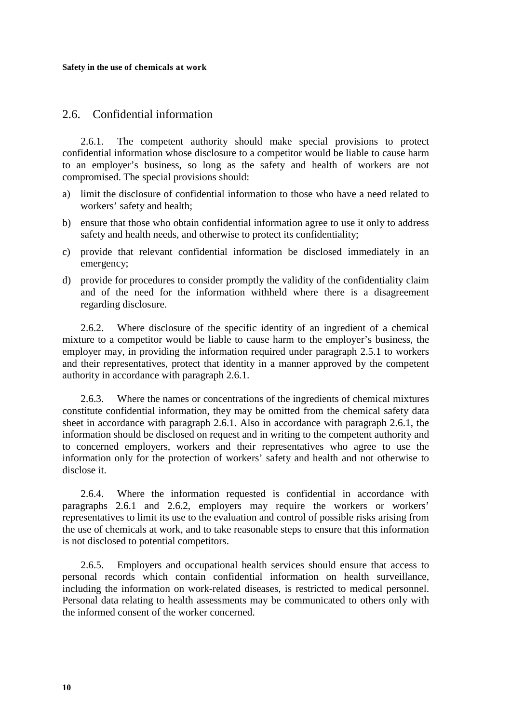## <span id="page-21-0"></span>2.6. Confidential information

2.6.1. The competent authority should make special provisions to protect confidential information whose disclosure to a competitor would be liable to cause harm to an employer's business, so long as the safety and health of workers are not compromised. The special provisions should:

- a) limit the disclosure of confidential information to those who have a need related to workers' safety and health;
- b) ensure that those who obtain confidential information agree to use it only to address safety and health needs, and otherwise to protect its confidentiality;
- c) provide that relevant confidential information be disclosed immediately in an emergency;
- d) provide for procedures to consider promptly the validity of the confidentiality claim and of the need for the information withheld where there is a disagreement regarding disclosure.

2.6.2. Where disclosure of the specific identity of an ingredient of a chemical mixture to a competitor would be liable to cause harm to the employer's business, the employer may, in providing the information required under paragraph 2.5.1 to workers and their representatives, protect that identity in a manner approved by the competent authority in accordance with paragraph 2.6.1.

2.6.3. Where the names or concentrations of the ingredients of chemical mixtures constitute confidential information, they may be omitted from the chemical safety data sheet in accordance with paragraph 2.6.1. Also in accordance with paragraph 2.6.1, the information should be disclosed on request and in writing to the competent authority and to concerned employers, workers and their representatives who agree to use the information only for the protection of workers' safety and health and not otherwise to disclose it.

2.6.4. Where the information requested is confidential in accordance with paragraphs 2.6.1 and 2.6.2, employers may require the workers or workers' representatives to limit its use to the evaluation and control of possible risks arising from the use of chemicals at work, and to take reasonable steps to ensure that this information is not disclosed to potential competitors.

2.6.5. Employers and occupational health services should ensure that access to personal records which contain confidential information on health surveillance, including the information on work-related diseases, is restricted to medical personnel. Personal data relating to health assessments may be communicated to others only with the informed consent of the worker concerned.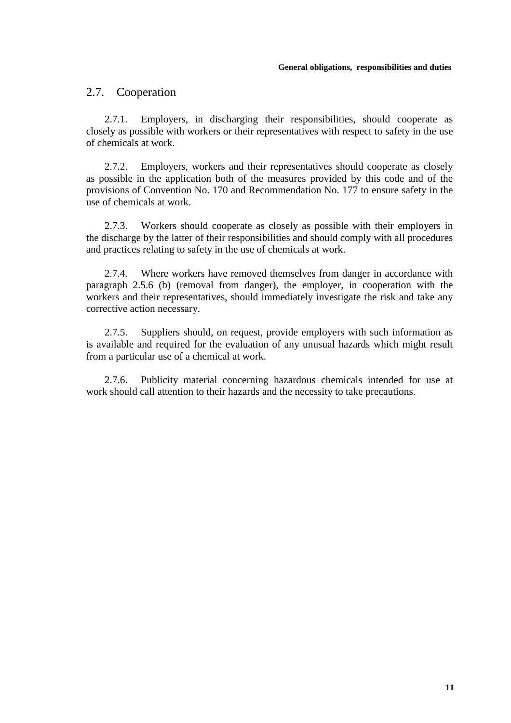### <span id="page-22-0"></span>2.7. Cooperation

2.7.1. Employers, in discharging their responsibilities, should cooperate as closely as possible with workers or their representatives with respect to safety in the use of chemicals at work.

2.7.2. Employers, workers and their representatives should cooperate as closely as possible in the application both of the measures provided by this code and of the provisions of Convention No. 170 and Recommendation No. 177 to ensure safety in the use of chemicals at work.

2.7.3. Workers should cooperate as closely as possible with their employers in the discharge by the latter of their responsibilities and should comply with all procedures and practices relating to safety in the use of chemicals at work.

2.7.4. Where workers have removed themselves from danger in accordance with paragraph 2.5.6 (b) (removal from danger), the employer, in cooperation with the workers and their representatives, should immediately investigate the risk and take any corrective action necessary.

2.7.5. Suppliers should, on request, provide employers with such information as is available and required for the evaluation of any unusual hazards which might result from a particular use of a chemical at work.

2.7.6. Publicity material concerning hazardous chemicals intended for use at work should call attention to their hazards and the necessity to take precautions.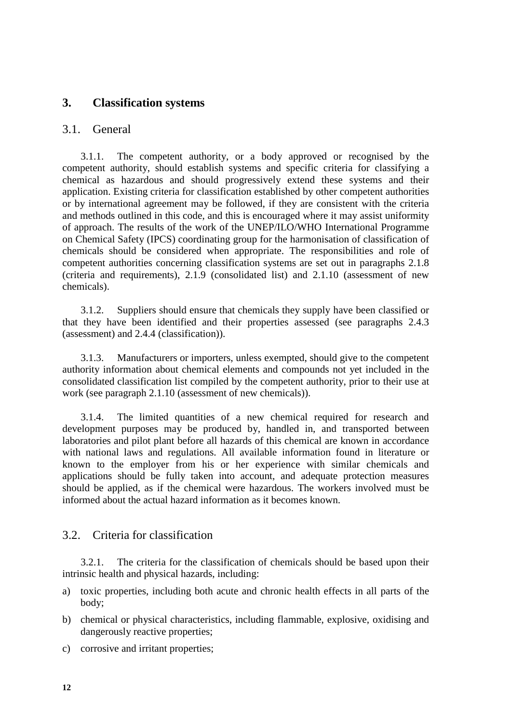## <span id="page-23-0"></span>**3. Classification systems**

## 3.1. General

3.1.1. The competent authority, or a body approved or recognised by the competent authority, should establish systems and specific criteria for classifying a chemical as hazardous and should progressively extend these systems and their application. Existing criteria for classification established by other competent authorities or by international agreement may be followed, if they are consistent with the criteria and methods outlined in this code, and this is encouraged where it may assist uniformity of approach. The results of the work of the UNEP/ILO/WHO International Programme on Chemical Safety (IPCS) coordinating group for the harmonisation of classification of chemicals should be considered when appropriate. The responsibilities and role of competent authorities concerning classification systems are set out in paragraphs 2.1.8 (criteria and requirements), 2.1.9 (consolidated list) and 2.1.10 (assessment of new chemicals).

3.1.2. Suppliers should ensure that chemicals they supply have been classified or that they have been identified and their properties assessed (see paragraphs 2.4.3 (assessment) and 2.4.4 (classification)).

3.1.3. Manufacturers or importers, unless exempted, should give to the competent authority information about chemical elements and compounds not yet included in the consolidated classification list compiled by the competent authority, prior to their use at work (see paragraph 2.1.10 (assessment of new chemicals)).

3.1.4. The limited quantities of a new chemical required for research and development purposes may be produced by, handled in, and transported between laboratories and pilot plant before all hazards of this chemical are known in accordance with national laws and regulations. All available information found in literature or known to the employer from his or her experience with similar chemicals and applications should be fully taken into account, and adequate protection measures should be applied, as if the chemical were hazardous. The workers involved must be informed about the actual hazard information as it becomes known.

## 3.2. Criteria for classification

3.2.1. The criteria for the classification of chemicals should be based upon their intrinsic health and physical hazards, including:

- a) toxic properties, including both acute and chronic health effects in all parts of the body;
- b) chemical or physical characteristics, including flammable, explosive, oxidising and dangerously reactive properties;
- c) corrosive and irritant properties;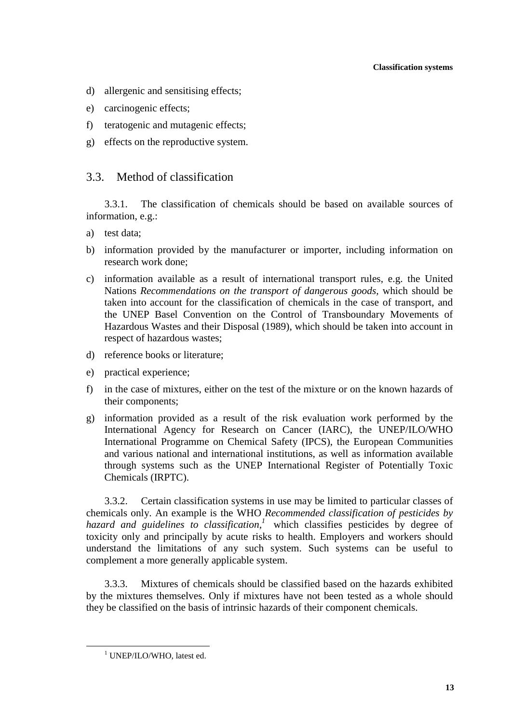- <span id="page-24-0"></span>d) allergenic and sensitising effects;
- e) carcinogenic effects;
- f) teratogenic and mutagenic effects;
- g) effects on the reproductive system.

## 3.3. Method of classification

3.3.1. The classification of chemicals should be based on available sources of information, e.g.:

- a) test data;
- b) information provided by the manufacturer or importer, including information on research work done;
- c) information available as a result of international transport rules, e.g. the United Nations *Recommendations on the transport of dangerous goods,* which should be taken into account for the classification of chemicals in the case of transport, and the UNEP Basel Convention on the Control of Transboundary Movements of Hazardous Wastes and their Disposal (1989), which should be taken into account in respect of hazardous wastes;
- d) reference books or literature;
- e) practical experience;
- f) in the case of mixtures, either on the test of the mixture or on the known hazards of their components;
- g) information provided as a result of the risk evaluation work performed by the International Agency for Research on Cancer (IARC), the UNEP/ILO/WHO International Programme on Chemical Safety (IPCS), the European Communities and various national and international institutions, as well as information available through systems such as the UNEP International Register of Potentially Toxic Chemicals (IRPTC).

3.3.2. Certain classification systems in use may be limited to particular classes of chemicals only. An example is the WHO *Recommended classification of pesticides by hazard and guidelines to classification*,<sup>1</sup> which classifies pesticides by degree of toxicity only and principally by acute risks to health. Employers and workers should understand the limitations of any such system. Such systems can be useful to complement a more generally applicable system.

3.3.3. Mixtures of chemicals should be classified based on the hazards exhibited by the mixtures themselves. Only if mixtures have not been tested as a whole should they be classified on the basis of intrinsic hazards of their component chemicals.

1

UNEP/ILO/WHO, latest ed.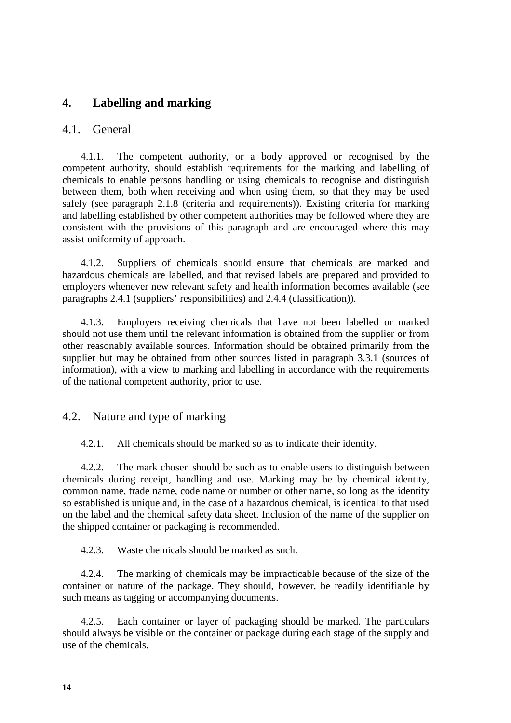## <span id="page-25-0"></span>**4. Labelling and marking**

## 4.1. General

4.1.1. The competent authority, or a body approved or recognised by the competent authority, should establish requirements for the marking and labelling of chemicals to enable persons handling or using chemicals to recognise and distinguish between them, both when receiving and when using them, so that they may be used safely (see paragraph 2.1.8 (criteria and requirements)). Existing criteria for marking and labelling established by other competent authorities may be followed where they are consistent with the provisions of this paragraph and are encouraged where this may assist uniformity of approach.

4.1.2. Suppliers of chemicals should ensure that chemicals are marked and hazardous chemicals are labelled, and that revised labels are prepared and provided to employers whenever new relevant safety and health information becomes available (see paragraphs 2.4.1 (suppliers' responsibilities) and 2.4.4 (classification)).

4.1.3. Employers receiving chemicals that have not been labelled or marked should not use them until the relevant information is obtained from the supplier or from other reasonably available sources. Information should be obtained primarily from the supplier but may be obtained from other sources listed in paragraph 3.3.1 (sources of information), with a view to marking and labelling in accordance with the requirements of the national competent authority, prior to use.

4.2. Nature and type of marking

4.2.1. All chemicals should be marked so as to indicate their identity.

4.2.2. The mark chosen should be such as to enable users to distinguish between chemicals during receipt, handling and use. Marking may be by chemical identity, common name, trade name, code name or number or other name, so long as the identity so established is unique and, in the case of a hazardous chemical, is identical to that used on the label and the chemical safety data sheet. Inclusion of the name of the supplier on the shipped container or packaging is recommended.

4.2.3. Waste chemicals should be marked as such.

4.2.4. The marking of chemicals may be impracticable because of the size of the container or nature of the package. They should, however, be readily identifiable by such means as tagging or accompanying documents.

4.2.5. Each container or layer of packaging should be marked. The particulars should always be visible on the container or package during each stage of the supply and use of the chemicals.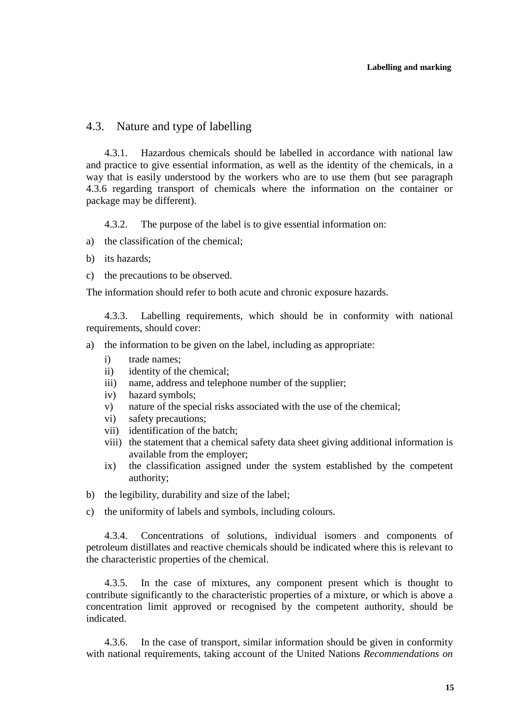## <span id="page-26-0"></span>4.3. Nature and type of labelling

4.3.1. Hazardous chemicals should be labelled in accordance with national law and practice to give essential information, as well as the identity of the chemicals, in a way that is easily understood by the workers who are to use them (but see paragraph 4.3.6 regarding transport of chemicals where the information on the container or package may be different).

4.3.2. The purpose of the label is to give essential information on:

- a) the classification of the chemical;
- b) its hazards;
- c) the precautions to be observed.

The information should refer to both acute and chronic exposure hazards.

4.3.3. Labelling requirements, which should be in conformity with national requirements, should cover:

- a) the information to be given on the label, including as appropriate:
	- i) trade names:
	- ii) identity of the chemical;
	- iii) name, address and telephone number of the supplier;
	- iv) hazard symbols;
	- v) nature of the special risks associated with the use of the chemical;
	- vi) safety precautions;
	- vii) identification of the batch;
	- viii) the statement that a chemical safety data sheet giving additional information is available from the employer;
	- ix) the classification assigned under the system established by the competent authority;
- b) the legibility, durability and size of the label;
- c) the uniformity of labels and symbols, including colours.

4.3.4. Concentrations of solutions, individual isomers and components of petroleum distillates and reactive chemicals should be indicated where this is relevant to the characteristic properties of the chemical.

4.3.5. In the case of mixtures, any component present which is thought to contribute significantly to the characteristic properties of a mixture, or which is above a concentration limit approved or recognised by the competent authority, should be indicated.

4.3.6. In the case of transport, similar information should be given in conformity with national requirements, taking account of the United Nations *Recommendations on*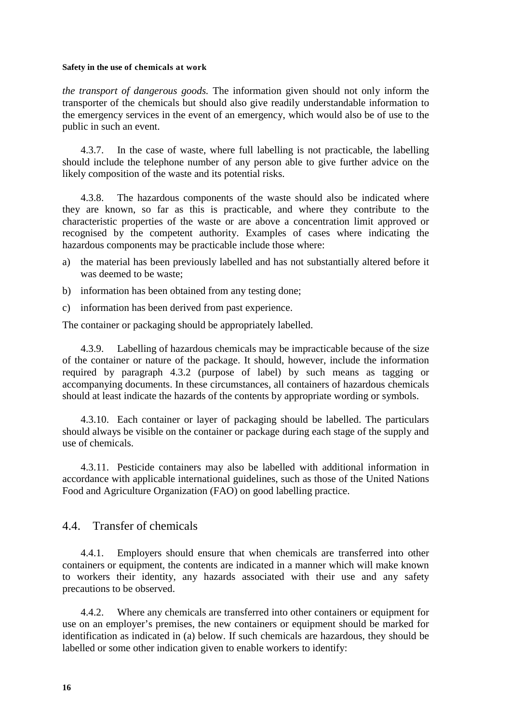<span id="page-27-0"></span>*the transport of dangerous goods.* The information given should not only inform the transporter of the chemicals but should also give readily understandable information to the emergency services in the event of an emergency, which would also be of use to the public in such an event.

4.3.7. In the case of waste, where full labelling is not practicable, the labelling should include the telephone number of any person able to give further advice on the likely composition of the waste and its potential risks.

4.3.8. The hazardous components of the waste should also be indicated where they are known, so far as this is practicable, and where they contribute to the characteristic properties of the waste or are above a concentration limit approved or recognised by the competent authority. Examples of cases where indicating the hazardous components may be practicable include those where:

- a) the material has been previously labelled and has not substantially altered before it was deemed to be waste;
- b) information has been obtained from any testing done;
- c) information has been derived from past experience.

The container or packaging should be appropriately labelled.

4.3.9. Labelling of hazardous chemicals may be impracticable because of the size of the container or nature of the package. It should, however, include the information required by paragraph 4.3.2 (purpose of label) by such means as tagging or accompanying documents. In these circumstances, all containers of hazardous chemicals should at least indicate the hazards of the contents by appropriate wording or symbols.

4.3.10. Each container or layer of packaging should be labelled. The particulars should always be visible on the container or package during each stage of the supply and use of chemicals.

4.3.11. Pesticide containers may also be labelled with additional information in accordance with applicable international guidelines, such as those of the United Nations Food and Agriculture Organization (FAO) on good labelling practice.

## 4.4. Transfer of chemicals

4.4.1. Employers should ensure that when chemicals are transferred into other containers or equipment, the contents are indicated in a manner which will make known to workers their identity, any hazards associated with their use and any safety precautions to be observed.

4.4.2. Where any chemicals are transferred into other containers or equipment for use on an employer's premises, the new containers or equipment should be marked for identification as indicated in (a) below. If such chemicals are hazardous, they should be labelled or some other indication given to enable workers to identify: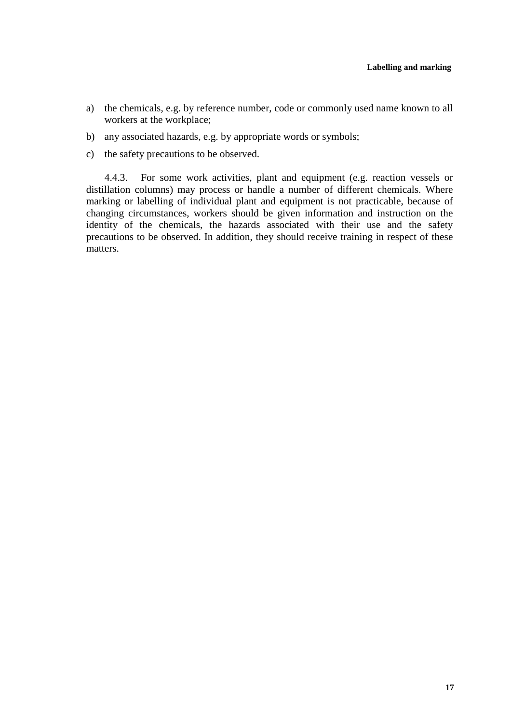- a) the chemicals, e.g. by reference number, code or commonly used name known to all workers at the workplace;
- b) any associated hazards, e.g. by appropriate words or symbols;
- c) the safety precautions to be observed.

4.4.3. For some work activities, plant and equipment (e.g. reaction vessels or distillation columns) may process or handle a number of different chemicals. Where marking or labelling of individual plant and equipment is not practicable, because of changing circumstances, workers should be given information and instruction on the identity of the chemicals, the hazards associated with their use and the safety precautions to be observed. In addition, they should receive training in respect of these matters.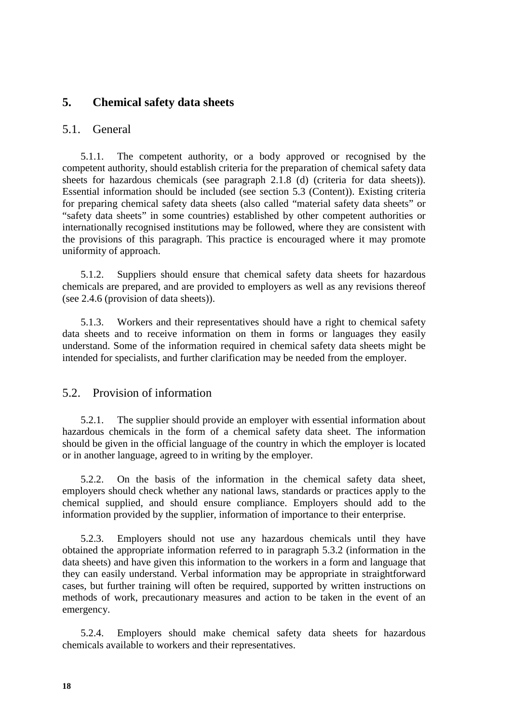## <span id="page-29-0"></span>**5. Chemical safety data sheets**

## 5.1. General

5.1.1. The competent authority, or a body approved or recognised by the competent authority, should establish criteria for the preparation of chemical safety data sheets for hazardous chemicals (see paragraph 2.1.8 (d) (criteria for data sheets)). Essential information should be included (see section 5.3 (Content)). Existing criteria for preparing chemical safety data sheets (also called "material safety data sheets" or "safety data sheets" in some countries) established by other competent authorities or internationally recognised institutions may be followed, where they are consistent with the provisions of this paragraph. This practice is encouraged where it may promote uniformity of approach.

5.1.2. Suppliers should ensure that chemical safety data sheets for hazardous chemicals are prepared, and are provided to employers as well as any revisions thereof (see 2.4.6 (provision of data sheets)).

5.1.3. Workers and their representatives should have a right to chemical safety data sheets and to receive information on them in forms or languages they easily understand. Some of the information required in chemical safety data sheets might be intended for specialists, and further clarification may be needed from the employer.

## 5.2. Provision of information

5.2.1. The supplier should provide an employer with essential information about hazardous chemicals in the form of a chemical safety data sheet. The information should be given in the official language of the country in which the employer is located or in another language, agreed to in writing by the employer.

5.2.2. On the basis of the information in the chemical safety data sheet, employers should check whether any national laws, standards or practices apply to the chemical supplied, and should ensure compliance. Employers should add to the information provided by the supplier, information of importance to their enterprise.

5.2.3. Employers should not use any hazardous chemicals until they have obtained the appropriate information referred to in paragraph 5.3.2 (information in the data sheets) and have given this information to the workers in a form and language that they can easily understand. Verbal information may be appropriate in straightforward cases, but further training will often be required, supported by written instructions on methods of work, precautionary measures and action to be taken in the event of an emergency.

5.2.4. Employers should make chemical safety data sheets for hazardous chemicals available to workers and their representatives.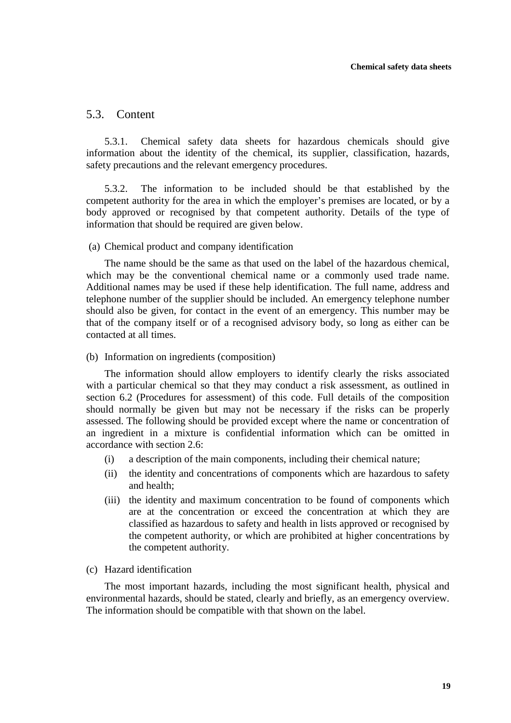## <span id="page-30-0"></span>5.3. Content

5.3.1. Chemical safety data sheets for hazardous chemicals should give information about the identity of the chemical, its supplier, classification, hazards, safety precautions and the relevant emergency procedures.

5.3.2. The information to be included should be that established by the competent authority for the area in which the employer's premises are located, or by a body approved or recognised by that competent authority. Details of the type of information that should be required are given below.

#### (a) Chemical product and company identification

The name should be the same as that used on the label of the hazardous chemical, which may be the conventional chemical name or a commonly used trade name. Additional names may be used if these help identification. The full name, address and telephone number of the supplier should be included. An emergency telephone number should also be given, for contact in the event of an emergency. This number may be that of the company itself or of a recognised advisory body, so long as either can be contacted at all times.

#### (b) Information on ingredients (composition)

The information should allow employers to identify clearly the risks associated with a particular chemical so that they may conduct a risk assessment, as outlined in section 6.2 (Procedures for assessment) of this code. Full details of the composition should normally be given but may not be necessary if the risks can be properly assessed. The following should be provided except where the name or concentration of an ingredient in a mixture is confidential information which can be omitted in accordance with section 2.6:

- (i) a description of the main components, including their chemical nature;
- (ii) the identity and concentrations of components which are hazardous to safety and health;
- (iii) the identity and maximum concentration to be found of components which are at the concentration or exceed the concentration at which they are classified as hazardous to safety and health in lists approved or recognised by the competent authority, or which are prohibited at higher concentrations by the competent authority.

#### (c) Hazard identification

The most important hazards, including the most significant health, physical and environmental hazards, should be stated, clearly and briefly, as an emergency overview. The information should be compatible with that shown on the label.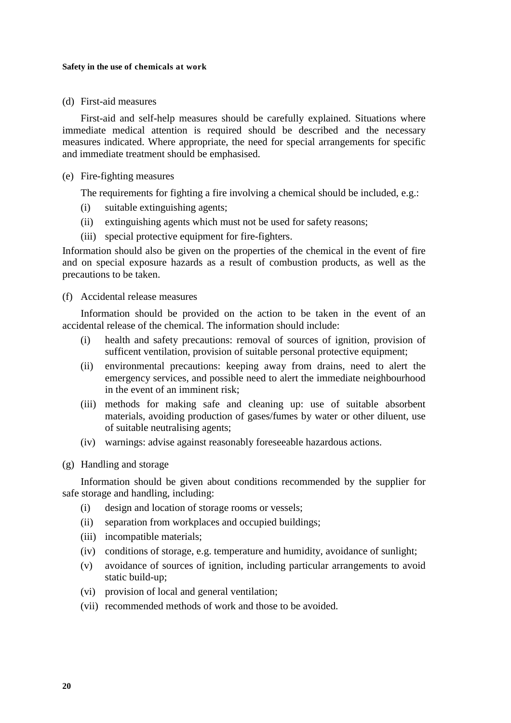(d) First-aid measures

First-aid and self-help measures should be carefully explained. Situations where immediate medical attention is required should be described and the necessary measures indicated. Where appropriate, the need for special arrangements for specific and immediate treatment should be emphasised.

#### (e) Fire-fighting measures

The requirements for fighting a fire involving a chemical should be included, e.g.:

- (i) suitable extinguishing agents;
- (ii) extinguishing agents which must not be used for safety reasons;
- (iii) special protective equipment for fire-fighters.

Information should also be given on the properties of the chemical in the event of fire and on special exposure hazards as a result of combustion products, as well as the precautions to be taken.

(f) Accidental release measures

Information should be provided on the action to be taken in the event of an accidental release of the chemical. The information should include:

- (i) health and safety precautions: removal of sources of ignition, provision of sufficent ventilation, provision of suitable personal protective equipment;
- (ii) environmental precautions: keeping away from drains, need to alert the emergency services, and possible need to alert the immediate neighbourhood in the event of an imminent risk;
- (iii) methods for making safe and cleaning up: use of suitable absorbent materials, avoiding production of gases/fumes by water or other diluent, use of suitable neutralising agents;
- (iv) warnings: advise against reasonably foreseeable hazardous actions.
- (g) Handling and storage

Information should be given about conditions recommended by the supplier for safe storage and handling, including:

- (i) design and location of storage rooms or vessels;
- (ii) separation from workplaces and occupied buildings;
- (iii) incompatible materials;
- (iv) conditions of storage, e.g. temperature and humidity, avoidance of sunlight;
- (v) avoidance of sources of ignition, including particular arrangements to avoid static build-up;
- (vi) provision of local and general ventilation;
- (vii) recommended methods of work and those to be avoided.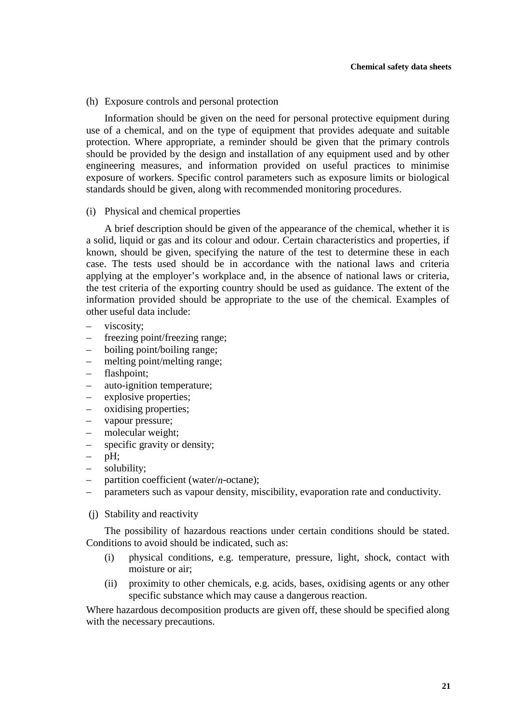(h) Exposure controls and personal protection

Information should be given on the need for personal protective equipment during use of a chemical, and on the type of equipment that provides adequate and suitable protection. Where appropriate, a reminder should be given that the primary controls should be provided by the design and installation of any equipment used and by other engineering measures, and information provided on useful practices to minimise exposure of workers. Specific control parameters such as exposure limits or biological standards should be given, along with recommended monitoring procedures.

#### (i) Physical and chemical properties

A brief description should be given of the appearance of the chemical, whether it is a solid, liquid or gas and its colour and odour. Certain characteristics and properties, if known, should be given, specifying the nature of the test to determine these in each case. The tests used should be in accordance with the national laws and criteria applying at the employer's workplace and, in the absence of national laws or criteria, the test criteria of the exporting country should be used as guidance. The extent of the information provided should be appropriate to the use of the chemical. Examples of other useful data include:

- viscosity:
- freezing point/freezing range;
- boiling point/boiling range;
- melting point/melting range;
- flashpoint;
- auto-ignition temperature;
- explosive properties;
- oxidising properties;
- vapour pressure;
- molecular weight;
- specific gravity or density;
- $-$  pH;
- solubility:
- partition coefficient (water/*n*-octane);
- parameters such as vapour density, miscibility, evaporation rate and conductivity.
- (j) Stability and reactivity

The possibility of hazardous reactions under certain conditions should be stated. Conditions to avoid should be indicated, such as:

- (i) physical conditions, e.g. temperature, pressure, light, shock, contact with moisture or air;
- (ii) proximity to other chemicals, e.g. acids, bases, oxidising agents or any other specific substance which may cause a dangerous reaction.

Where hazardous decomposition products are given off, these should be specified along with the necessary precautions.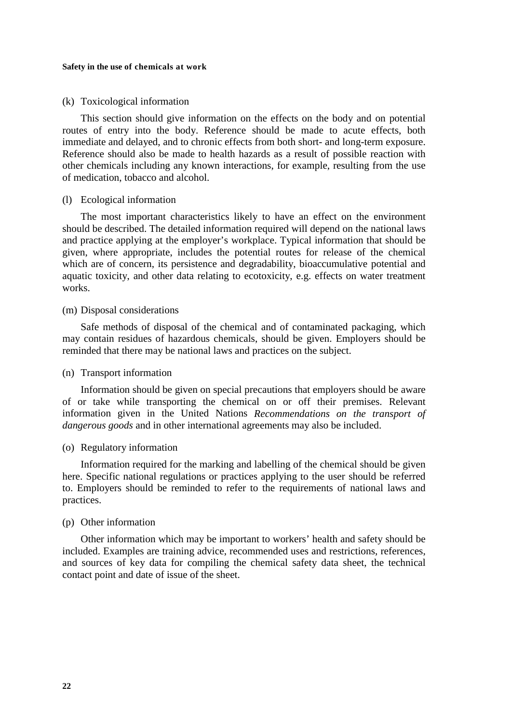#### (k) Toxicological information

This section should give information on the effects on the body and on potential routes of entry into the body. Reference should be made to acute effects, both immediate and delayed, and to chronic effects from both short- and long-term exposure. Reference should also be made to health hazards as a result of possible reaction with other chemicals including any known interactions, for example, resulting from the use of medication, tobacco and alcohol.

#### (l) Ecological information

The most important characteristics likely to have an effect on the environment should be described. The detailed information required will depend on the national laws and practice applying at the employer's workplace. Typical information that should be given, where appropriate, includes the potential routes for release of the chemical which are of concern, its persistence and degradability, bioaccumulative potential and aquatic toxicity, and other data relating to ecotoxicity, e.g. effects on water treatment works.

#### (m) Disposal considerations

Safe methods of disposal of the chemical and of contaminated packaging, which may contain residues of hazardous chemicals, should be given. Employers should be reminded that there may be national laws and practices on the subject.

#### (n) Transport information

Information should be given on special precautions that employers should be aware of or take while transporting the chemical on or off their premises. Relevant information given in the United Nations *Recommendations on the transport of dangerous goods* and in other international agreements may also be included.

#### (o) Regulatory information

Information required for the marking and labelling of the chemical should be given here. Specific national regulations or practices applying to the user should be referred to. Employers should be reminded to refer to the requirements of national laws and practices.

#### (p) Other information

Other information which may be important to workers' health and safety should be included. Examples are training advice, recommended uses and restrictions, references, and sources of key data for compiling the chemical safety data sheet, the technical contact point and date of issue of the sheet.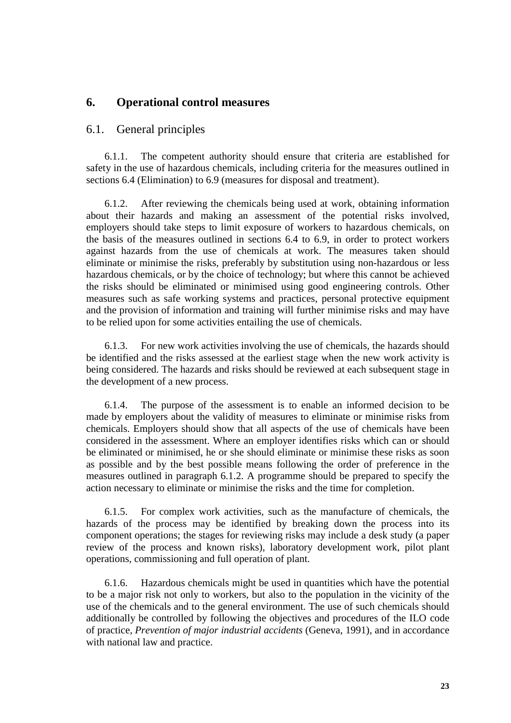## <span id="page-34-0"></span>**6. Operational control measures**

## 6.1. General principles

6.1.1. The competent authority should ensure that criteria are established for safety in the use of hazardous chemicals, including criteria for the measures outlined in sections 6.4 (Elimination) to 6.9 (measures for disposal and treatment).

6.1.2. After reviewing the chemicals being used at work, obtaining information about their hazards and making an assessment of the potential risks involved, employers should take steps to limit exposure of workers to hazardous chemicals, on the basis of the measures outlined in sections 6.4 to 6.9, in order to protect workers against hazards from the use of chemicals at work. The measures taken should eliminate or minimise the risks, preferably by substitution using non-hazardous or less hazardous chemicals, or by the choice of technology; but where this cannot be achieved the risks should be eliminated or minimised using good engineering controls. Other measures such as safe working systems and practices, personal protective equipment and the provision of information and training will further minimise risks and may have to be relied upon for some activities entailing the use of chemicals.

6.1.3. For new work activities involving the use of chemicals, the hazards should be identified and the risks assessed at the earliest stage when the new work activity is being considered. The hazards and risks should be reviewed at each subsequent stage in the development of a new process.

6.1.4. The purpose of the assessment is to enable an informed decision to be made by employers about the validity of measures to eliminate or minimise risks from chemicals. Employers should show that all aspects of the use of chemicals have been considered in the assessment. Where an employer identifies risks which can or should be eliminated or minimised, he or she should eliminate or minimise these risks as soon as possible and by the best possible means following the order of preference in the measures outlined in paragraph 6.1.2. A programme should be prepared to specify the action necessary to eliminate or minimise the risks and the time for completion.

6.1.5. For complex work activities, such as the manufacture of chemicals, the hazards of the process may be identified by breaking down the process into its component operations; the stages for reviewing risks may include a desk study (a paper review of the process and known risks), laboratory development work, pilot plant operations, commissioning and full operation of plant.

6.1.6. Hazardous chemicals might be used in quantities which have the potential to be a major risk not only to workers, but also to the population in the vicinity of the use of the chemicals and to the general environment. The use of such chemicals should additionally be controlled by following the objectives and procedures of the ILO code of practice, *Prevention of major industrial accidents* (Geneva, 1991), and in accordance with national law and practice.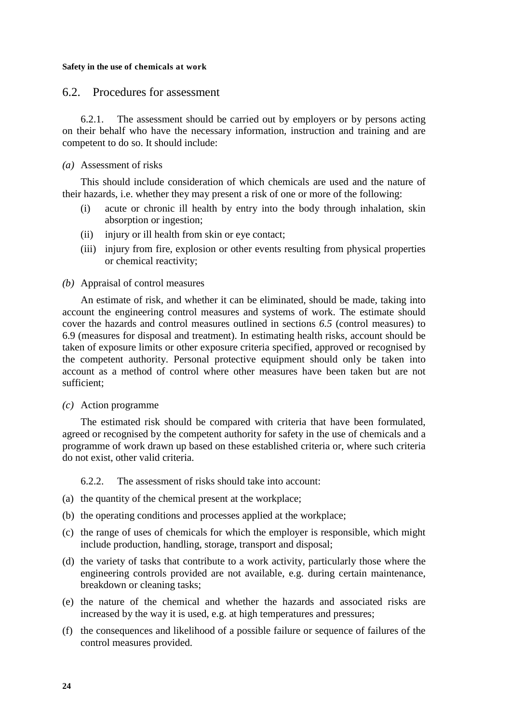## <span id="page-35-0"></span>6.2. Procedures for assessment

6.2.1. The assessment should be carried out by employers or by persons acting on their behalf who have the necessary information, instruction and training and are competent to do so. It should include:

#### *(a)* Assessment of risks

This should include consideration of which chemicals are used and the nature of their hazards, i.e. whether they may present a risk of one or more of the following:

- (i) acute or chronic ill health by entry into the body through inhalation, skin absorption or ingestion;
- (ii) injury or ill health from skin or eye contact;
- (iii) injury from fire, explosion or other events resulting from physical properties or chemical reactivity;

#### *(b)* Appraisal of control measures

An estimate of risk, and whether it can be eliminated, should be made, taking into account the engineering control measures and systems of work. The estimate should cover the hazards and control measures outlined in sections *6.5* (control measures) to 6.9 (measures for disposal and treatment). In estimating health risks, account should be taken of exposure limits or other exposure criteria specified, approved or recognised by the competent authority. Personal protective equipment should only be taken into account as a method of control where other measures have been taken but are not sufficient;

#### *(c)* Action programme

The estimated risk should be compared with criteria that have been formulated, agreed or recognised by the competent authority for safety in the use of chemicals and a programme of work drawn up based on these established criteria or, where such criteria do not exist, other valid criteria.

6.2.2. The assessment of risks should take into account:

- (a) the quantity of the chemical present at the workplace;
- (b) the operating conditions and processes applied at the workplace;
- (c) the range of uses of chemicals for which the employer is responsible, which might include production, handling, storage, transport and disposal;
- (d) the variety of tasks that contribute to a work activity, particularly those where the engineering controls provided are not available, e.g. during certain maintenance, breakdown or cleaning tasks;
- (e) the nature of the chemical and whether the hazards and associated risks are increased by the way it is used, e.g. at high temperatures and pressures;
- (f) the consequences and likelihood of a possible failure or sequence of failures of the control measures provided.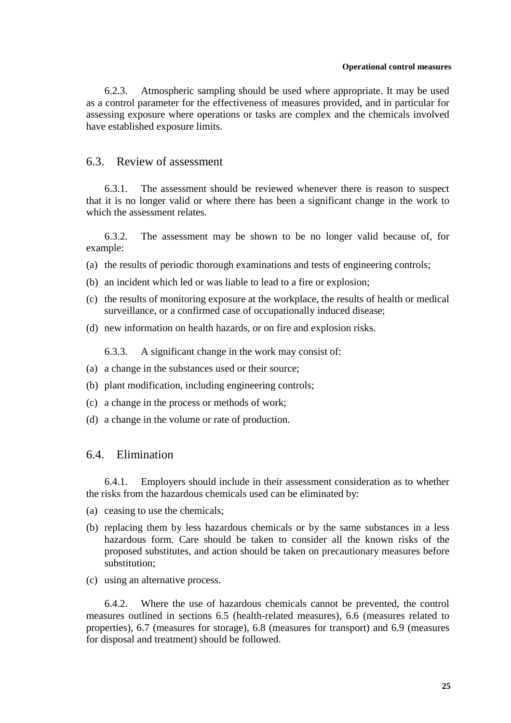#### **Operational control measures**

6.2.3. Atmospheric sampling should be used where appropriate. It may be used as a control parameter for the effectiveness of measures provided, and in particular for assessing exposure where operations or tasks are complex and the chemicals involved have established exposure limits.

## 6.3. Review of assessment

6.3.1. The assessment should be reviewed whenever there is reason to suspect that it is no longer valid or where there has been a significant change in the work to which the assessment relates.

6.3.2. The assessment may be shown to be no longer valid because of, for example:

- (a) the results of periodic thorough examinations and tests of engineering controls;
- (b) an incident which led or was liable to lead to a fire or explosion;
- (c) the results of monitoring exposure at the workplace, the results of health or medical surveillance, or a confirmed case of occupationally induced disease;
- (d) new information on health hazards, or on fire and explosion risks.

6.3.3. A significant change in the work may consist of:

- (a) a change in the substances used or their source;
- (b) plant modification, including engineering controls;
- (c) a change in the process or methods of work;
- (d) a change in the volume or rate of production.

### 6.4. Elimination

6.4.1. Employers should include in their assessment consideration as to whether the risks from the hazardous chemicals used can be eliminated by:

- (a) ceasing to use the chemicals;
- (b) replacing them by less hazardous chemicals or by the same substances in a less hazardous form. Care should be taken to consider all the known risks of the proposed substitutes, and action should be taken on precautionary measures before substitution;
- (c) using an alternative process.

6.4.2. Where the use of hazardous chemicals cannot be prevented, the control measures outlined in sections 6.5 (health-related measures), 6.6 (measures related to properties), 6.7 (measures for storage), 6.8 (measures for transport) and 6.9 (measures for disposal and treatment) should be followed.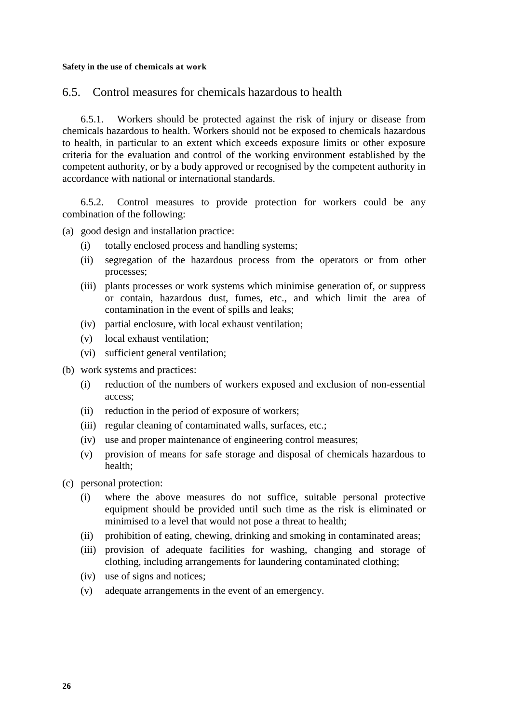## 6.5. Control measures for chemicals hazardous to health

6.5.1. Workers should be protected against the risk of injury or disease from chemicals hazardous to health. Workers should not be exposed to chemicals hazardous to health, in particular to an extent which exceeds exposure limits or other exposure criteria for the evaluation and control of the working environment established by the competent authority, or by a body approved or recognised by the competent authority in accordance with national or international standards.

6.5.2. Control measures to provide protection for workers could be any combination of the following:

- (a) good design and installation practice:
	- (i) totally enclosed process and handling systems;
	- (ii) segregation of the hazardous process from the operators or from other processes;
	- (iii) plants processes or work systems which minimise generation of, or suppress or contain, hazardous dust, fumes, etc., and which limit the area of contamination in the event of spills and leaks;
	- (iv) partial enclosure, with local exhaust ventilation;
	- (v) local exhaust ventilation;
	- (vi) sufficient general ventilation;
- (b) work systems and practices:
	- (i) reduction of the numbers of workers exposed and exclusion of non-essential access;
	- (ii) reduction in the period of exposure of workers;
	- (iii) regular cleaning of contaminated walls, surfaces, etc.;
	- (iv) use and proper maintenance of engineering control measures;
	- (v) provision of means for safe storage and disposal of chemicals hazardous to health;
- (c) personal protection:
	- (i) where the above measures do not suffice, suitable personal protective equipment should be provided until such time as the risk is eliminated or minimised to a level that would not pose a threat to health;
	- (ii) prohibition of eating, chewing, drinking and smoking in contaminated areas;
	- (iii) provision of adequate facilities for washing, changing and storage of clothing, including arrangements for laundering contaminated clothing;
	- (iv) use of signs and notices;
	- (v) adequate arrangements in the event of an emergency.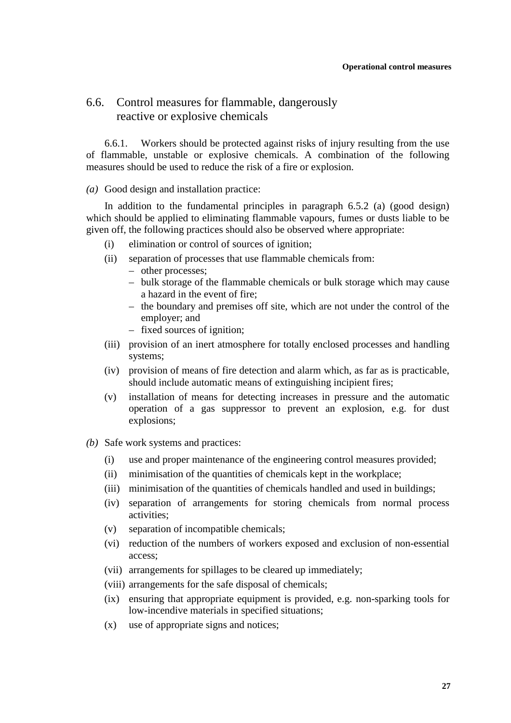# 6.6. Control measures for flammable, dangerously reactive or explosive chemicals

6.6.1. Workers should be protected against risks of injury resulting from the use of flammable, unstable or explosive chemicals. A combination of the following measures should be used to reduce the risk of a fire or explosion.

#### *(a)* Good design and installation practice:

In addition to the fundamental principles in paragraph 6.5.2 (a) (good design) which should be applied to eliminating flammable vapours, fumes or dusts liable to be given off, the following practices should also be observed where appropriate:

- (i) elimination or control of sources of ignition;
- (ii) separation of processes that use flammable chemicals from:
	- other processes;
	- bulk storage of the flammable chemicals or bulk storage which may cause a hazard in the event of fire;
	- the boundary and premises off site, which are not under the control of the employer; and
	- fixed sources of ignition;
- (iii) provision of an inert atmosphere for totally enclosed processes and handling systems;
- (iv) provision of means of fire detection and alarm which, as far as is practicable, should include automatic means of extinguishing incipient fires;
- (v) installation of means for detecting increases in pressure and the automatic operation of a gas suppressor to prevent an explosion, e.g. for dust explosions;
- *(b)* Safe work systems and practices:
	- (i) use and proper maintenance of the engineering control measures provided;
	- (ii) minimisation of the quantities of chemicals kept in the workplace;
	- (iii) minimisation of the quantities of chemicals handled and used in buildings;
	- (iv) separation of arrangements for storing chemicals from normal process activities;
	- (v) separation of incompatible chemicals;
	- (vi) reduction of the numbers of workers exposed and exclusion of non-essential access;
	- (vii) arrangements for spillages to be cleared up immediately;
	- (viii) arrangements for the safe disposal of chemicals;
	- (ix) ensuring that appropriate equipment is provided, e.g. non-sparking tools for low-incendive materials in specified situations;
	- (x) use of appropriate signs and notices;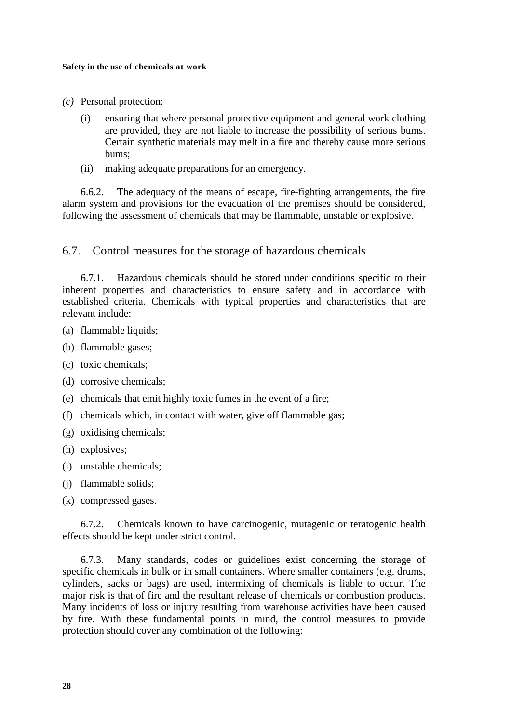*(c)* Personal protection:

- (i) ensuring that where personal protective equipment and general work clothing are provided, they are not liable to increase the possibility of serious bums. Certain synthetic materials may melt in a fire and thereby cause more serious bums;
- (ii) making adequate preparations for an emergency.

6.6.2. The adequacy of the means of escape, fire-fighting arrangements, the fire alarm system and provisions for the evacuation of the premises should be considered, following the assessment of chemicals that may be flammable, unstable or explosive.

# 6.7. Control measures for the storage of hazardous chemicals

6.7.1. Hazardous chemicals should be stored under conditions specific to their inherent properties and characteristics to ensure safety and in accordance with established criteria. Chemicals with typical properties and characteristics that are relevant include:

- (a) flammable liquids;
- (b) flammable gases;
- (c) toxic chemicals;
- (d) corrosive chemicals;
- (e) chemicals that emit highly toxic fumes in the event of a fire;
- (f) chemicals which, in contact with water, give off flammable gas;
- (g) oxidising chemicals;
- (h) explosives;
- (i) unstable chemicals;
- (j) flammable solids;
- (k) compressed gases.

6.7.2. Chemicals known to have carcinogenic, mutagenic or teratogenic health effects should be kept under strict control.

6.7.3. Many standards, codes or guidelines exist concerning the storage of specific chemicals in bulk or in small containers. Where smaller containers (e.g. drums, cylinders, sacks or bags) are used, intermixing of chemicals is liable to occur. The major risk is that of fire and the resultant release of chemicals or combustion products. Many incidents of loss or injury resulting from warehouse activities have been caused by fire. With these fundamental points in mind, the control measures to provide protection should cover any combination of the following: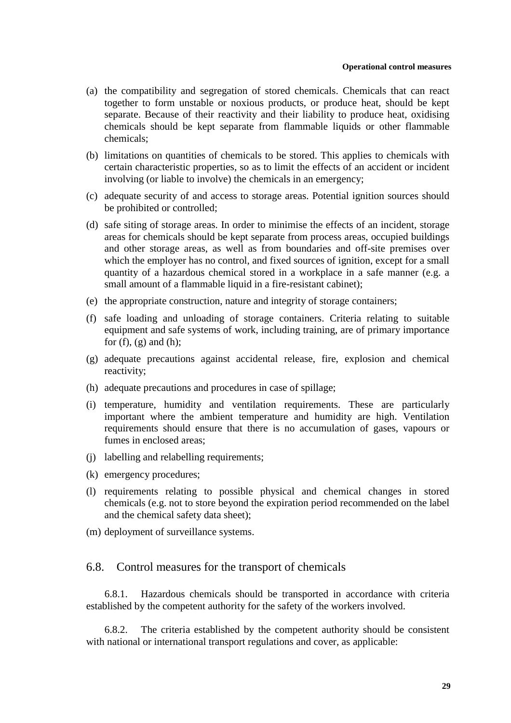#### **Operational control measures**

- (a) the compatibility and segregation of stored chemicals. Chemicals that can react together to form unstable or noxious products, or produce heat, should be kept separate. Because of their reactivity and their liability to produce heat, oxidising chemicals should be kept separate from flammable liquids or other flammable chemicals;
- (b) limitations on quantities of chemicals to be stored. This applies to chemicals with certain characteristic properties, so as to limit the effects of an accident or incident involving (or liable to involve) the chemicals in an emergency;
- (c) adequate security of and access to storage areas. Potential ignition sources should be prohibited or controlled;
- (d) safe siting of storage areas. In order to minimise the effects of an incident, storage areas for chemicals should be kept separate from process areas, occupied buildings and other storage areas, as well as from boundaries and off-site premises over which the employer has no control, and fixed sources of ignition, except for a small quantity of a hazardous chemical stored in a workplace in a safe manner (e.g. a small amount of a flammable liquid in a fire-resistant cabinet);
- (e) the appropriate construction, nature and integrity of storage containers;
- (f) safe loading and unloading of storage containers. Criteria relating to suitable equipment and safe systems of work, including training, are of primary importance for  $(f)$ ,  $(g)$  and  $(h)$ ;
- (g) adequate precautions against accidental release, fire, explosion and chemical reactivity;
- (h) adequate precautions and procedures in case of spillage;
- (i) temperature, humidity and ventilation requirements. These are particularly important where the ambient temperature and humidity are high. Ventilation requirements should ensure that there is no accumulation of gases, vapours or fumes in enclosed areas;
- (j) labelling and relabelling requirements;
- (k) emergency procedures;
- (l) requirements relating to possible physical and chemical changes in stored chemicals (e.g. not to store beyond the expiration period recommended on the label and the chemical safety data sheet);
- (m) deployment of surveillance systems.

### 6.8. Control measures for the transport of chemicals

6.8.1. Hazardous chemicals should be transported in accordance with criteria established by the competent authority for the safety of the workers involved.

6.8.2. The criteria established by the competent authority should be consistent with national or international transport regulations and cover, as applicable: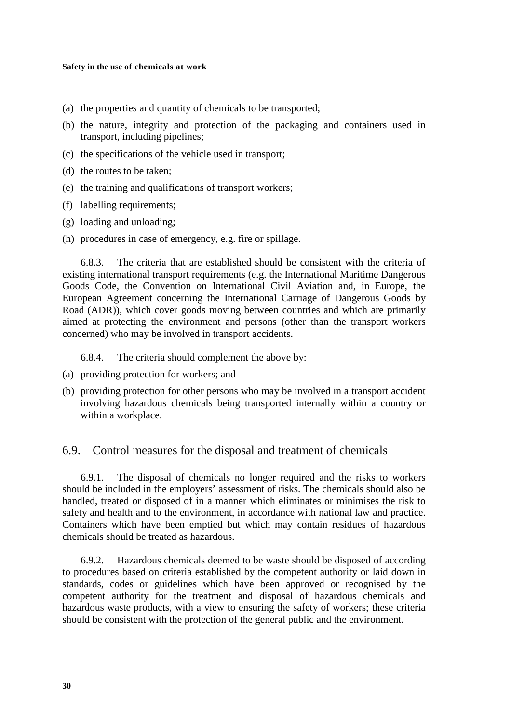- (a) the properties and quantity of chemicals to be transported;
- (b) the nature, integrity and protection of the packaging and containers used in transport, including pipelines;
- (c) the specifications of the vehicle used in transport;
- (d) the routes to be taken;
- (e) the training and qualifications of transport workers;
- (f) labelling requirements;
- (g) loading and unloading;
- (h) procedures in case of emergency, e.g. fire or spillage.

6.8.3. The criteria that are established should be consistent with the criteria of existing international transport requirements (e.g. the International Maritime Dangerous Goods Code, the Convention on International Civil Aviation and, in Europe, the European Agreement concerning the International Carriage of Dangerous Goods by Road (ADR)), which cover goods moving between countries and which are primarily aimed at protecting the environment and persons (other than the transport workers concerned) who may be involved in transport accidents.

6.8.4. The criteria should complement the above by:

- (a) providing protection for workers; and
- (b) providing protection for other persons who may be involved in a transport accident involving hazardous chemicals being transported internally within a country or within a workplace.

## 6.9. Control measures for the disposal and treatment of chemicals

6.9.1. The disposal of chemicals no longer required and the risks to workers should be included in the employers' assessment of risks. The chemicals should also be handled, treated or disposed of in a manner which eliminates or minimises the risk to safety and health and to the environment, in accordance with national law and practice. Containers which have been emptied but which may contain residues of hazardous chemicals should be treated as hazardous.

6.9.2. Hazardous chemicals deemed to be waste should be disposed of according to procedures based on criteria established by the competent authority or laid down in standards, codes or guidelines which have been approved or recognised by the competent authority for the treatment and disposal of hazardous chemicals and hazardous waste products, with a view to ensuring the safety of workers; these criteria should be consistent with the protection of the general public and the environment.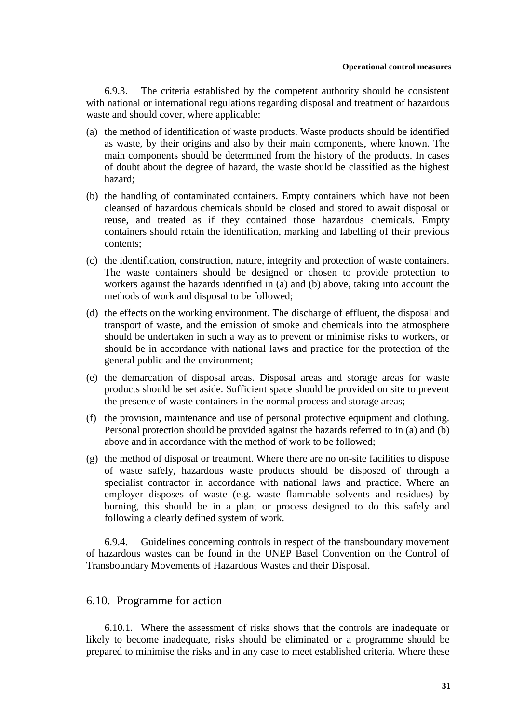#### **Operational control measures**

6.9.3. The criteria established by the competent authority should be consistent with national or international regulations regarding disposal and treatment of hazardous waste and should cover, where applicable:

- (a) the method of identification of waste products. Waste products should be identified as waste, by their origins and also by their main components, where known. The main components should be determined from the history of the products. In cases of doubt about the degree of hazard, the waste should be classified as the highest hazard;
- (b) the handling of contaminated containers. Empty containers which have not been cleansed of hazardous chemicals should be closed and stored to await disposal or reuse, and treated as if they contained those hazardous chemicals. Empty containers should retain the identification, marking and labelling of their previous contents;
- (c) the identification, construction, nature, integrity and protection of waste containers. The waste containers should be designed or chosen to provide protection to workers against the hazards identified in (a) and (b) above, taking into account the methods of work and disposal to be followed;
- (d) the effects on the working environment. The discharge of effluent, the disposal and transport of waste, and the emission of smoke and chemicals into the atmosphere should be undertaken in such a way as to prevent or minimise risks to workers, or should be in accordance with national laws and practice for the protection of the general public and the environment;
- (e) the demarcation of disposal areas. Disposal areas and storage areas for waste products should be set aside. Sufficient space should be provided on site to prevent the presence of waste containers in the normal process and storage areas;
- (f) the provision, maintenance and use of personal protective equipment and clothing. Personal protection should be provided against the hazards referred to in (a) and (b) above and in accordance with the method of work to be followed;
- (g) the method of disposal or treatment. Where there are no on-site facilities to dispose of waste safely, hazardous waste products should be disposed of through a specialist contractor in accordance with national laws and practice. Where an employer disposes of waste (e.g. waste flammable solvents and residues) by burning, this should be in a plant or process designed to do this safely and following a clearly defined system of work.

6.9.4. Guidelines concerning controls in respect of the transboundary movement of hazardous wastes can be found in the UNEP Basel Convention on the Control of Transboundary Movements of Hazardous Wastes and their Disposal.

## 6.10. Programme for action

6.10.1. Where the assessment of risks shows that the controls are inadequate or likely to become inadequate, risks should be eliminated or a programme should be prepared to minimise the risks and in any case to meet established criteria. Where these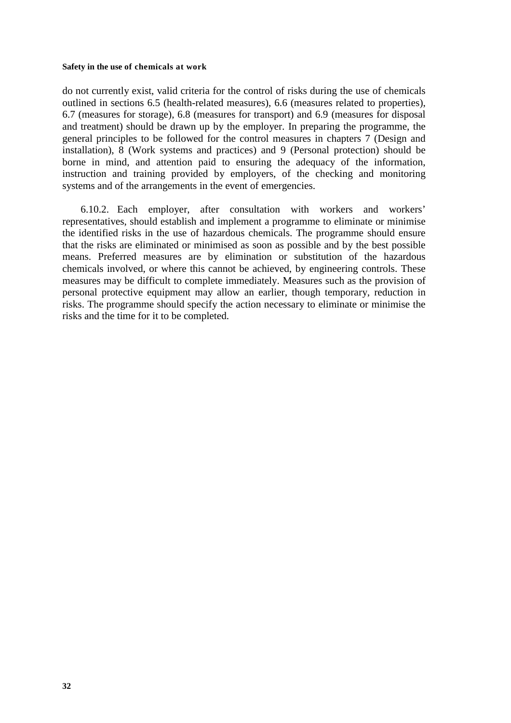do not currently exist, valid criteria for the control of risks during the use of chemicals outlined in sections 6.5 (health-related measures), 6.6 (measures related to properties), 6.7 (measures for storage), 6.8 (measures for transport) and 6.9 (measures for disposal and treatment) should be drawn up by the employer. In preparing the programme, the general principles to be followed for the control measures in chapters 7 (Design and installation), 8 (Work systems and practices) and 9 (Personal protection) should be borne in mind, and attention paid to ensuring the adequacy of the information, instruction and training provided by employers, of the checking and monitoring systems and of the arrangements in the event of emergencies.

6.10.2. Each employer, after consultation with workers and workers' representatives, should establish and implement a programme to eliminate or minimise the identified risks in the use of hazardous chemicals. The programme should ensure that the risks are eliminated or minimised as soon as possible and by the best possible means. Preferred measures are by elimination or substitution of the hazardous chemicals involved, or where this cannot be achieved, by engineering controls. These measures may be difficult to complete immediately. Measures such as the provision of personal protective equipment may allow an earlier, though temporary, reduction in risks. The programme should specify the action necessary to eliminate or minimise the risks and the time for it to be completed.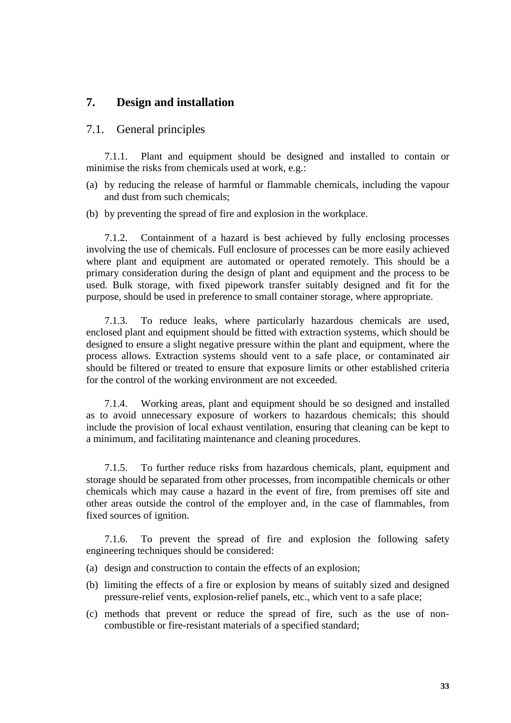# **7. Design and installation**

## 7.1. General principles

7.1.1. Plant and equipment should be designed and installed to contain or minimise the risks from chemicals used at work, e.g.:

- (a) by reducing the release of harmful or flammable chemicals, including the vapour and dust from such chemicals;
- (b) by preventing the spread of fire and explosion in the workplace.

7.1.2. Containment of a hazard is best achieved by fully enclosing processes involving the use of chemicals. Full enclosure of processes can be more easily achieved where plant and equipment are automated or operated remotely. This should be a primary consideration during the design of plant and equipment and the process to be used. Bulk storage, with fixed pipework transfer suitably designed and fit for the purpose, should be used in preference to small container storage, where appropriate.

7.1.3. To reduce leaks, where particularly hazardous chemicals are used, enclosed plant and equipment should be fitted with extraction systems, which should be designed to ensure a slight negative pressure within the plant and equipment, where the process allows. Extraction systems should vent to a safe place, or contaminated air should be filtered or treated to ensure that exposure limits or other established criteria for the control of the working environment are not exceeded.

7.1.4. Working areas, plant and equipment should be so designed and installed as to avoid unnecessary exposure of workers to hazardous chemicals; this should include the provision of local exhaust ventilation, ensuring that cleaning can be kept to a minimum, and facilitating maintenance and cleaning procedures.

7.1.5. To further reduce risks from hazardous chemicals, plant, equipment and storage should be separated from other processes, from incompatible chemicals or other chemicals which may cause a hazard in the event of fire, from premises off site and other areas outside the control of the employer and, in the case of flammables, from fixed sources of ignition.

7.1.6. To prevent the spread of fire and explosion the following safety engineering techniques should be considered:

- (a) design and construction to contain the effects of an explosion;
- (b) limiting the effects of a fire or explosion by means of suitably sized and designed pressure-relief vents, explosion-relief panels, etc., which vent to a safe place;
- (c) methods that prevent or reduce the spread of fire, such as the use of noncombustible or fire-resistant materials of a specified standard;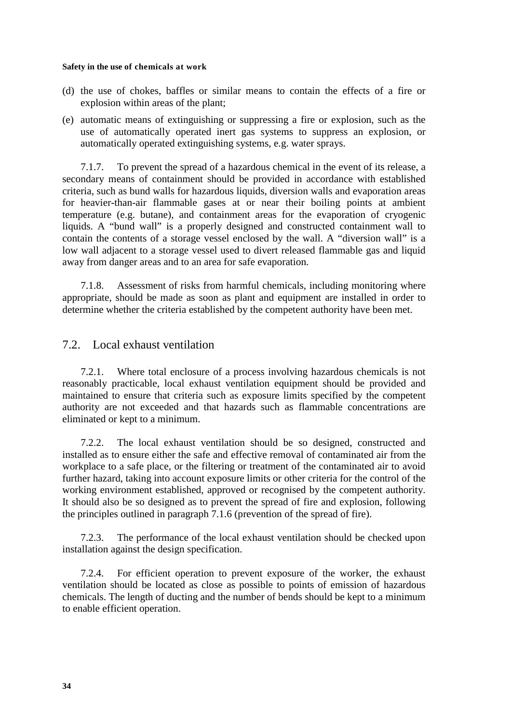- (d) the use of chokes, baffles or similar means to contain the effects of a fire or explosion within areas of the plant;
- (e) automatic means of extinguishing or suppressing a fire or explosion, such as the use of automatically operated inert gas systems to suppress an explosion, or automatically operated extinguishing systems, e.g. water sprays.

7.1.7. To prevent the spread of a hazardous chemical in the event of its release, a secondary means of containment should be provided in accordance with established criteria, such as bund walls for hazardous liquids, diversion walls and evaporation areas for heavier-than-air flammable gases at or near their boiling points at ambient temperature (e.g. butane), and containment areas for the evaporation of cryogenic liquids. A "bund wall" is a properly designed and constructed containment wall to contain the contents of a storage vessel enclosed by the wall. A "diversion wall" is a low wall adjacent to a storage vessel used to divert released flammable gas and liquid away from danger areas and to an area for safe evaporation.

7.1.8. Assessment of risks from harmful chemicals, including monitoring where appropriate, should be made as soon as plant and equipment are installed in order to determine whether the criteria established by the competent authority have been met.

## 7.2. Local exhaust ventilation

7.2.1. Where total enclosure of a process involving hazardous chemicals is not reasonably practicable, local exhaust ventilation equipment should be provided and maintained to ensure that criteria such as exposure limits specified by the competent authority are not exceeded and that hazards such as flammable concentrations are eliminated or kept to a minimum.

7.2.2. The local exhaust ventilation should be so designed, constructed and installed as to ensure either the safe and effective removal of contaminated air from the workplace to a safe place, or the filtering or treatment of the contaminated air to avoid further hazard, taking into account exposure limits or other criteria for the control of the working environment established, approved or recognised by the competent authority. It should also be so designed as to prevent the spread of fire and explosion, following the principles outlined in paragraph 7.1.6 (prevention of the spread of fire).

7.2.3. The performance of the local exhaust ventilation should be checked upon installation against the design specification.

7.2.4. For efficient operation to prevent exposure of the worker, the exhaust ventilation should be located as close as possible to points of emission of hazardous chemicals. The length of ducting and the number of bends should be kept to a minimum to enable efficient operation.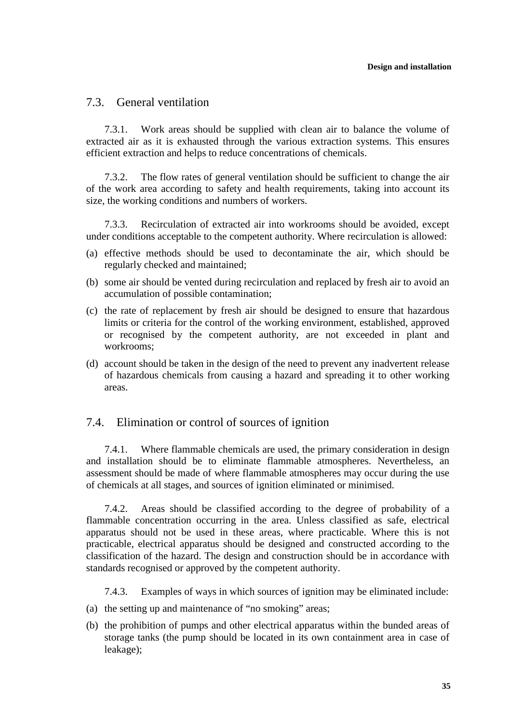## 7.3. General ventilation

7.3.1. Work areas should be supplied with clean air to balance the volume of extracted air as it is exhausted through the various extraction systems. This ensures efficient extraction and helps to reduce concentrations of chemicals.

7.3.2. The flow rates of general ventilation should be sufficient to change the air of the work area according to safety and health requirements, taking into account its size, the working conditions and numbers of workers.

7.3.3. Recirculation of extracted air into workrooms should be avoided, except under conditions acceptable to the competent authority. Where recirculation is allowed:

- (a) effective methods should be used to decontaminate the air, which should be regularly checked and maintained;
- (b) some air should be vented during recirculation and replaced by fresh air to avoid an accumulation of possible contamination;
- (c) the rate of replacement by fresh air should be designed to ensure that hazardous limits or criteria for the control of the working environment, established, approved or recognised by the competent authority, are not exceeded in plant and workrooms;
- (d) account should be taken in the design of the need to prevent any inadvertent release of hazardous chemicals from causing a hazard and spreading it to other working areas.

### 7.4. Elimination or control of sources of ignition

7.4.1. Where flammable chemicals are used, the primary consideration in design and installation should be to eliminate flammable atmospheres. Nevertheless, an assessment should be made of where flammable atmospheres may occur during the use of chemicals at all stages, and sources of ignition eliminated or minimised.

7.4.2. Areas should be classified according to the degree of probability of a flammable concentration occurring in the area. Unless classified as safe, electrical apparatus should not be used in these areas, where practicable. Where this is not practicable, electrical apparatus should be designed and constructed according to the classification of the hazard. The design and construction should be in accordance with standards recognised or approved by the competent authority.

7.4.3. Examples of ways in which sources of ignition may be eliminated include:

- (a) the setting up and maintenance of "no smoking" areas;
- (b) the prohibition of pumps and other electrical apparatus within the bunded areas of storage tanks (the pump should be located in its own containment area in case of leakage);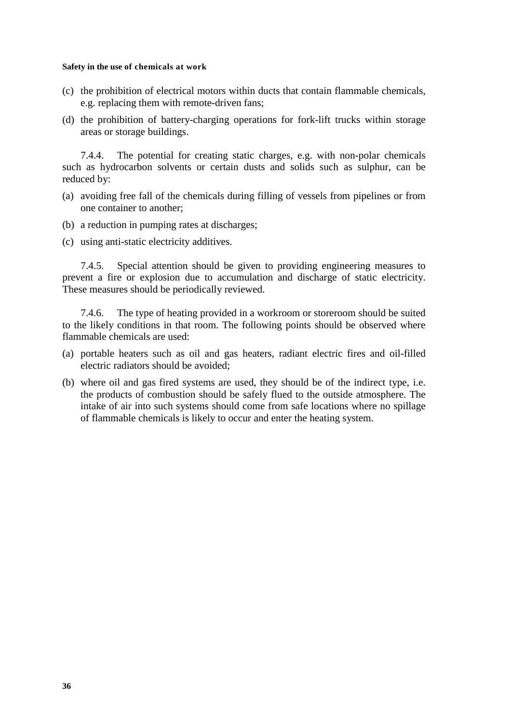- (c) the prohibition of electrical motors within ducts that contain flammable chemicals, e.g. replacing them with remote-driven fans;
- (d) the prohibition of battery-charging operations for fork-lift trucks within storage areas or storage buildings.

7.4.4. The potential for creating static charges, e.g. with non-polar chemicals such as hydrocarbon solvents or certain dusts and solids such as sulphur, can be reduced by:

- (a) avoiding free fall of the chemicals during filling of vessels from pipelines or from one container to another;
- (b) a reduction in pumping rates at discharges;
- (c) using anti-static electricity additives.

7.4.5. Special attention should be given to providing engineering measures to prevent a fire or explosion due to accumulation and discharge of static electricity. These measures should be periodically reviewed.

7.4.6. The type of heating provided in a workroom or storeroom should be suited to the likely conditions in that room. The following points should be observed where flammable chemicals are used:

- (a) portable heaters such as oil and gas heaters, radiant electric fires and oil-filled electric radiators should be avoided;
- (b) where oil and gas fired systems are used, they should be of the indirect type, i.e. the products of combustion should be safely flued to the outside atmosphere. The intake of air into such systems should come from safe locations where no spillage of flammable chemicals is likely to occur and enter the heating system.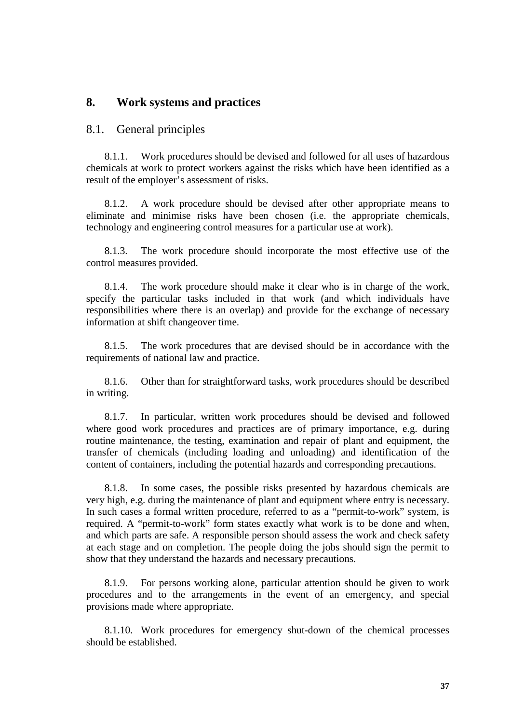# **8. Work systems and practices**

### 8.1. General principles

8.1.1. Work procedures should be devised and followed for all uses of hazardous chemicals at work to protect workers against the risks which have been identified as a result of the employer's assessment of risks.

8.1.2. A work procedure should be devised after other appropriate means to eliminate and minimise risks have been chosen (i.e. the appropriate chemicals, technology and engineering control measures for a particular use at work).

8.1.3. The work procedure should incorporate the most effective use of the control measures provided.

8.1.4. The work procedure should make it clear who is in charge of the work, specify the particular tasks included in that work (and which individuals have responsibilities where there is an overlap) and provide for the exchange of necessary information at shift changeover time.

8.1.5. The work procedures that are devised should be in accordance with the requirements of national law and practice.

8.1.6. Other than for straightforward tasks, work procedures should be described in writing.

8.1.7. In particular, written work procedures should be devised and followed where good work procedures and practices are of primary importance, e.g. during routine maintenance, the testing, examination and repair of plant and equipment, the transfer of chemicals (including loading and unloading) and identification of the content of containers, including the potential hazards and corresponding precautions.

8.1.8. In some cases, the possible risks presented by hazardous chemicals are very high, e.g. during the maintenance of plant and equipment where entry is necessary. In such cases a formal written procedure, referred to as a "permit-to-work" system, is required. A "permit-to-work" form states exactly what work is to be done and when, and which parts are safe. A responsible person should assess the work and check safety at each stage and on completion. The people doing the jobs should sign the permit to show that they understand the hazards and necessary precautions.

8.1.9. For persons working alone, particular attention should be given to work procedures and to the arrangements in the event of an emergency, and special provisions made where appropriate.

8.1.10. Work procedures for emergency shut-down of the chemical processes should be established.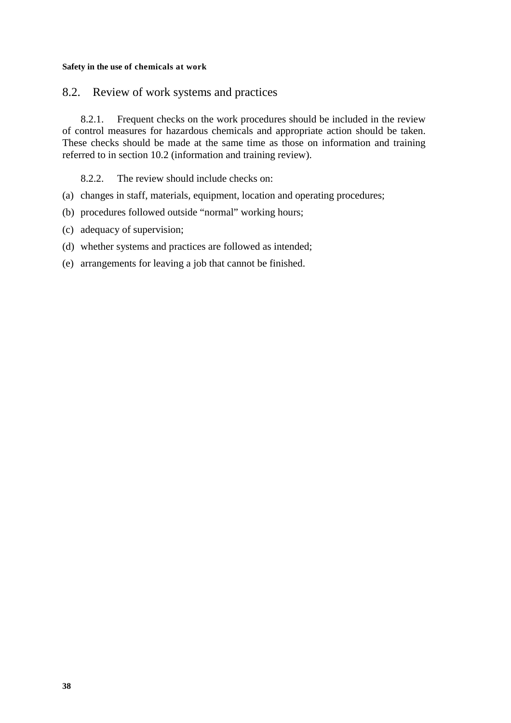# 8.2. Review of work systems and practices

8.2.1. Frequent checks on the work procedures should be included in the review of control measures for hazardous chemicals and appropriate action should be taken. These checks should be made at the same time as those on information and training referred to in section 10.2 (information and training review).

## 8.2.2. The review should include checks on:

- (a) changes in staff, materials, equipment, location and operating procedures;
- (b) procedures followed outside "normal" working hours;
- (c) adequacy of supervision;
- (d) whether systems and practices are followed as intended;
- (e) arrangements for leaving a job that cannot be finished.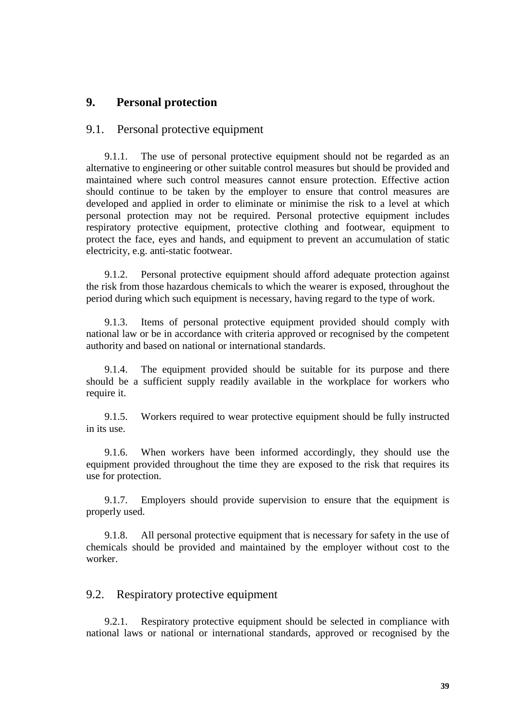# **9. Personal protection**

## 9.1. Personal protective equipment

9.1.1. The use of personal protective equipment should not be regarded as an alternative to engineering or other suitable control measures but should be provided and maintained where such control measures cannot ensure protection. Effective action should continue to be taken by the employer to ensure that control measures are developed and applied in order to eliminate or minimise the risk to a level at which personal protection may not be required. Personal protective equipment includes respiratory protective equipment, protective clothing and footwear, equipment to protect the face, eyes and hands, and equipment to prevent an accumulation of static electricity, e.g. anti-static footwear.

9.1.2. Personal protective equipment should afford adequate protection against the risk from those hazardous chemicals to which the wearer is exposed, throughout the period during which such equipment is necessary, having regard to the type of work.

9.1.3. Items of personal protective equipment provided should comply with national law or be in accordance with criteria approved or recognised by the competent authority and based on national or international standards.

9.1.4. The equipment provided should be suitable for its purpose and there should be a sufficient supply readily available in the workplace for workers who require it.

9.1.5. Workers required to wear protective equipment should be fully instructed in its use.

9.1.6. When workers have been informed accordingly, they should use the equipment provided throughout the time they are exposed to the risk that requires its use for protection.

9.1.7. Employers should provide supervision to ensure that the equipment is properly used.

9.1.8. All personal protective equipment that is necessary for safety in the use of chemicals should be provided and maintained by the employer without cost to the worker.

### 9.2. Respiratory protective equipment

9.2.1. Respiratory protective equipment should be selected in compliance with national laws or national or international standards, approved or recognised by the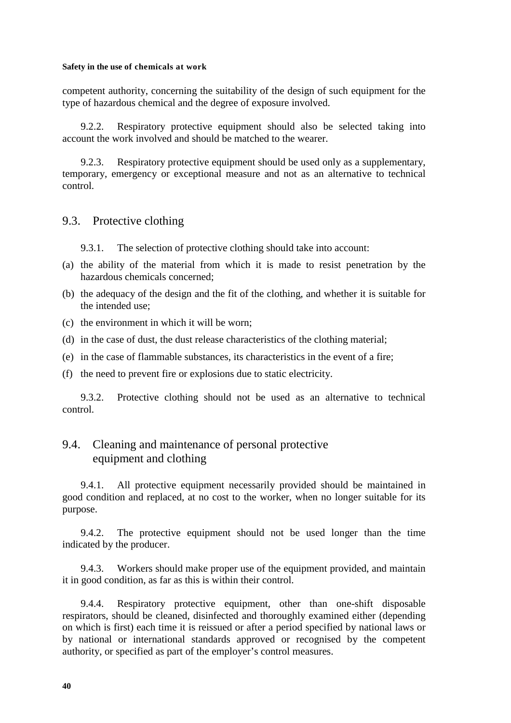competent authority, concerning the suitability of the design of such equipment for the type of hazardous chemical and the degree of exposure involved.

9.2.2. Respiratory protective equipment should also be selected taking into account the work involved and should be matched to the wearer.

9.2.3. Respiratory protective equipment should be used only as a supplementary, temporary, emergency or exceptional measure and not as an alternative to technical control.

## 9.3. Protective clothing

9.3.1. The selection of protective clothing should take into account:

- (a) the ability of the material from which it is made to resist penetration by the hazardous chemicals concerned;
- (b) the adequacy of the design and the fit of the clothing, and whether it is suitable for the intended use;
- (c) the environment in which it will be worn;
- (d) in the case of dust, the dust release characteristics of the clothing material;
- (e) in the case of flammable substances, its characteristics in the event of a fire;
- (f) the need to prevent fire or explosions due to static electricity.

9.3.2. Protective clothing should not be used as an alternative to technical control.

# 9.4. Cleaning and maintenance of personal protective equipment and clothing

9.4.1. All protective equipment necessarily provided should be maintained in good condition and replaced, at no cost to the worker, when no longer suitable for its purpose.

9.4.2. The protective equipment should not be used longer than the time indicated by the producer.

9.4.3. Workers should make proper use of the equipment provided, and maintain it in good condition, as far as this is within their control.

9.4.4. Respiratory protective equipment, other than one-shift disposable respirators, should be cleaned, disinfected and thoroughly examined either (depending on which is first) each time it is reissued or after a period specified by national laws or by national or international standards approved or recognised by the competent authority, or specified as part of the employer's control measures.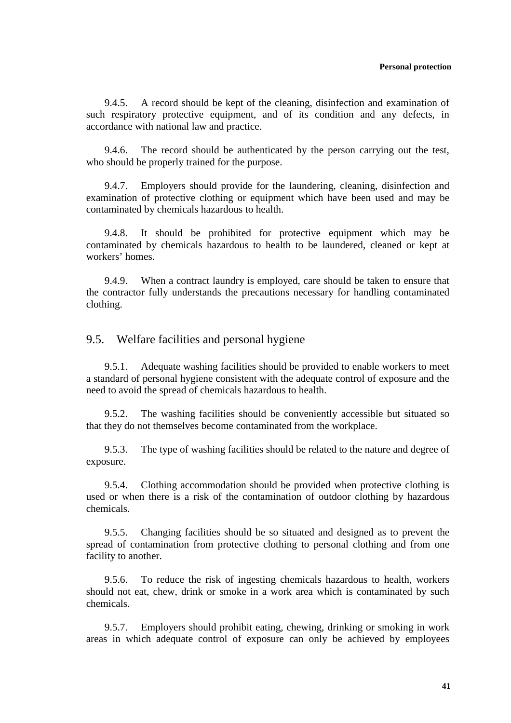9.4.5. A record should be kept of the cleaning, disinfection and examination of such respiratory protective equipment, and of its condition and any defects, in accordance with national law and practice.

9.4.6. The record should be authenticated by the person carrying out the test, who should be properly trained for the purpose.

9.4.7. Employers should provide for the laundering, cleaning, disinfection and examination of protective clothing or equipment which have been used and may be contaminated by chemicals hazardous to health.

9.4.8. It should be prohibited for protective equipment which may be contaminated by chemicals hazardous to health to be laundered, cleaned or kept at workers' homes.

9.4.9. When a contract laundry is employed, care should be taken to ensure that the contractor fully understands the precautions necessary for handling contaminated clothing.

### 9.5. Welfare facilities and personal hygiene

9.5.1. Adequate washing facilities should be provided to enable workers to meet a standard of personal hygiene consistent with the adequate control of exposure and the need to avoid the spread of chemicals hazardous to health.

9.5.2. The washing facilities should be conveniently accessible but situated so that they do not themselves become contaminated from the workplace.

9.5.3. The type of washing facilities should be related to the nature and degree of exposure.

9.5.4. Clothing accommodation should be provided when protective clothing is used or when there is a risk of the contamination of outdoor clothing by hazardous chemicals.

9.5.5. Changing facilities should be so situated and designed as to prevent the spread of contamination from protective clothing to personal clothing and from one facility to another.

9.5.6. To reduce the risk of ingesting chemicals hazardous to health, workers should not eat, chew, drink or smoke in a work area which is contaminated by such chemicals.

9.5.7. Employers should prohibit eating, chewing, drinking or smoking in work areas in which adequate control of exposure can only be achieved by employees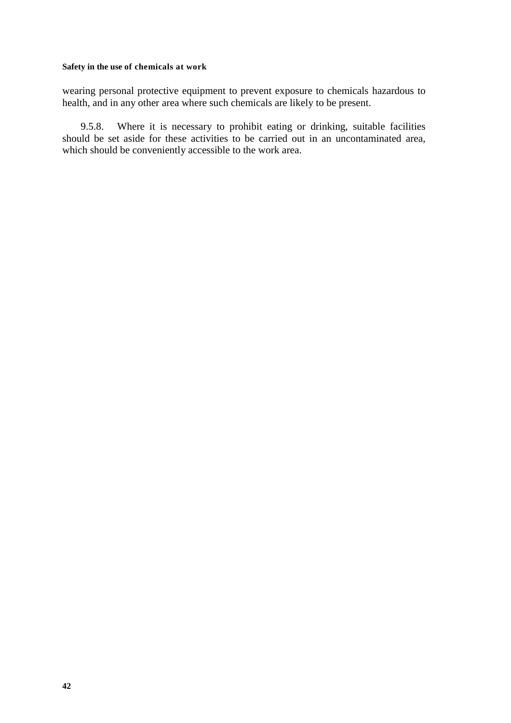wearing personal protective equipment to prevent exposure to chemicals hazardous to health, and in any other area where such chemicals are likely to be present.

9.5.8. Where it is necessary to prohibit eating or drinking, suitable facilities should be set aside for these activities to be carried out in an uncontaminated area, which should be conveniently accessible to the work area.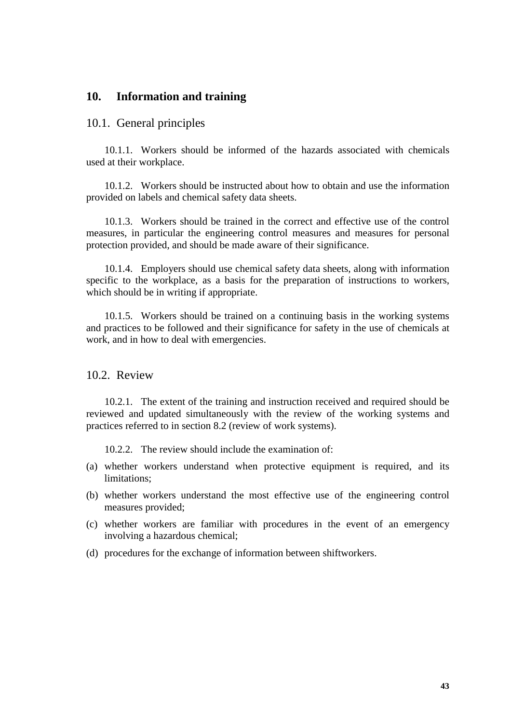## **10. Information and training**

### 10.1. General principles

10.1.1. Workers should be informed of the hazards associated with chemicals used at their workplace.

10.1.2. Workers should be instructed about how to obtain and use the information provided on labels and chemical safety data sheets.

10.1.3. Workers should be trained in the correct and effective use of the control measures, in particular the engineering control measures and measures for personal protection provided, and should be made aware of their significance.

10.1.4. Employers should use chemical safety data sheets, along with information specific to the workplace, as a basis for the preparation of instructions to workers, which should be in writing if appropriate.

10.1.5. Workers should be trained on a continuing basis in the working systems and practices to be followed and their significance for safety in the use of chemicals at work, and in how to deal with emergencies.

## 10.2. Review

10.2.1. The extent of the training and instruction received and required should be reviewed and updated simultaneously with the review of the working systems and practices referred to in section 8.2 (review of work systems).

10.2.2. The review should include the examination of:

- (a) whether workers understand when protective equipment is required, and its limitations;
- (b) whether workers understand the most effective use of the engineering control measures provided;
- (c) whether workers are familiar with procedures in the event of an emergency involving a hazardous chemical;
- (d) procedures for the exchange of information between shiftworkers.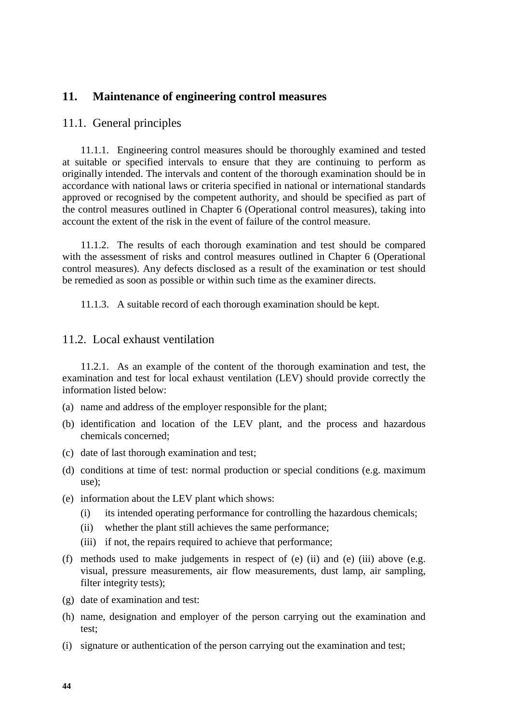# **11. Maintenance of engineering control measures**

## 11.1. General principles

11.1.1. Engineering control measures should be thoroughly examined and tested at suitable or specified intervals to ensure that they are continuing to perform as originally intended. The intervals and content of the thorough examination should be in accordance with national laws or criteria specified in national or international standards approved or recognised by the competent authority, and should be specified as part of the control measures outlined in Chapter 6 (Operational control measures), taking into account the extent of the risk in the event of failure of the control measure.

11.1.2. The results of each thorough examination and test should be compared with the assessment of risks and control measures outlined in Chapter 6 (Operational control measures). Any defects disclosed as a result of the examination or test should be remedied as soon as possible or within such time as the examiner directs.

11.1.3. A suitable record of each thorough examination should be kept.

## 11.2. Local exhaust ventilation

11.2.1. As an example of the content of the thorough examination and test, the examination and test for local exhaust ventilation (LEV) should provide correctly the information listed below:

- (a) name and address of the employer responsible for the plant;
- (b) identification and location of the LEV plant, and the process and hazardous chemicals concerned;
- (c) date of last thorough examination and test;
- (d) conditions at time of test: normal production or special conditions (e.g. maximum use);
- (e) information about the LEV plant which shows:
	- (i) its intended operating performance for controlling the hazardous chemicals;
	- (ii) whether the plant still achieves the same performance;
	- (iii) if not, the repairs required to achieve that performance;
- (f) methods used to make judgements in respect of (e) (ii) and (e) (iii) above (e.g. visual, pressure measurements, air flow measurements, dust lamp, air sampling, filter integrity tests);
- (g) date of examination and test:
- (h) name, designation and employer of the person carrying out the examination and test;
- (i) signature or authentication of the person carrying out the examination and test;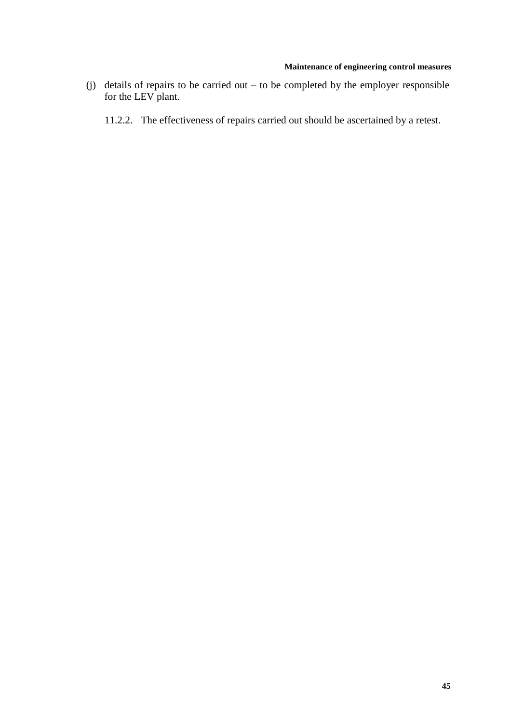### **Maintenance of engineering control measures**

- (j) details of repairs to be carried out to be completed by the employer responsible for the LEV plant.
	- 11.2.2. The effectiveness of repairs carried out should be ascertained by a retest.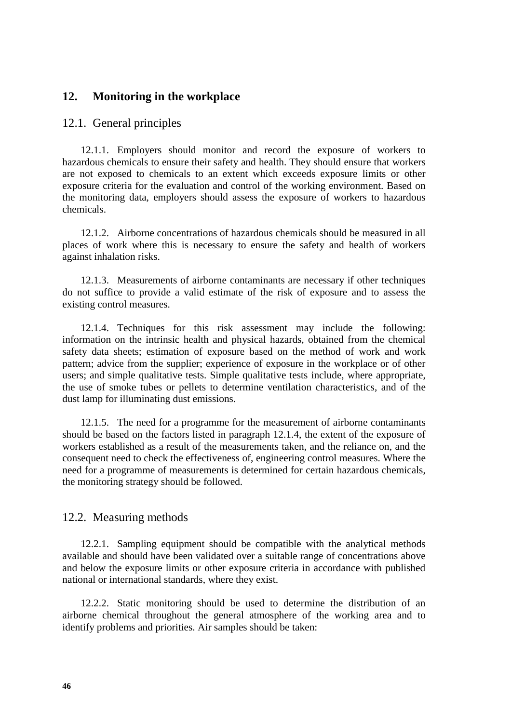# **12. Monitoring in the workplace**

### 12.1. General principles

12.1.1. Employers should monitor and record the exposure of workers to hazardous chemicals to ensure their safety and health. They should ensure that workers are not exposed to chemicals to an extent which exceeds exposure limits or other exposure criteria for the evaluation and control of the working environment. Based on the monitoring data, employers should assess the exposure of workers to hazardous chemicals.

12.1.2. Airborne concentrations of hazardous chemicals should be measured in all places of work where this is necessary to ensure the safety and health of workers against inhalation risks.

12.1.3. Measurements of airborne contaminants are necessary if other techniques do not suffice to provide a valid estimate of the risk of exposure and to assess the existing control measures.

12.1.4. Techniques for this risk assessment may include the following: information on the intrinsic health and physical hazards, obtained from the chemical safety data sheets; estimation of exposure based on the method of work and work pattern; advice from the supplier; experience of exposure in the workplace or of other users; and simple qualitative tests. Simple qualitative tests include, where appropriate, the use of smoke tubes or pellets to determine ventilation characteristics, and of the dust lamp for illuminating dust emissions.

12.1.5. The need for a programme for the measurement of airborne contaminants should be based on the factors listed in paragraph 12.1.4, the extent of the exposure of workers established as a result of the measurements taken, and the reliance on, and the consequent need to check the effectiveness of, engineering control measures. Where the need for a programme of measurements is determined for certain hazardous chemicals, the monitoring strategy should be followed.

### 12.2. Measuring methods

12.2.1. Sampling equipment should be compatible with the analytical methods available and should have been validated over a suitable range of concentrations above and below the exposure limits or other exposure criteria in accordance with published national or international standards, where they exist.

12.2.2. Static monitoring should be used to determine the distribution of an airborne chemical throughout the general atmosphere of the working area and to identify problems and priorities. Air samples should be taken: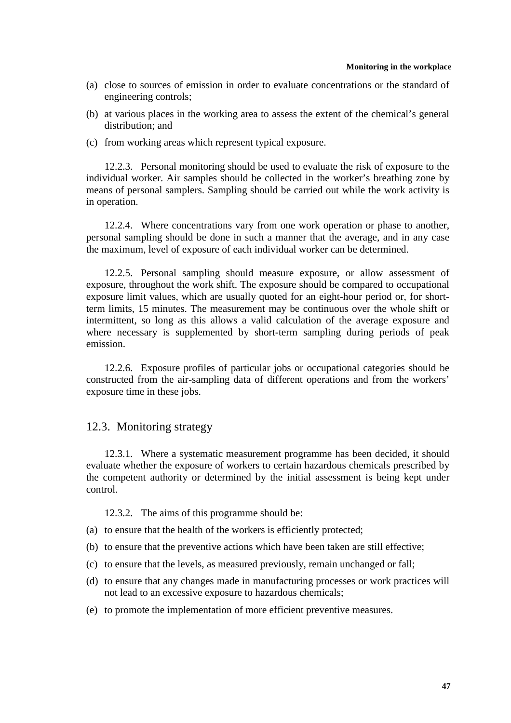- (a) close to sources of emission in order to evaluate concentrations or the standard of engineering controls;
- (b) at various places in the working area to assess the extent of the chemical's general distribution; and
- (c) from working areas which represent typical exposure.

12.2.3. Personal monitoring should be used to evaluate the risk of exposure to the individual worker. Air samples should be collected in the worker's breathing zone by means of personal samplers. Sampling should be carried out while the work activity is in operation.

12.2.4. Where concentrations vary from one work operation or phase to another, personal sampling should be done in such a manner that the average, and in any case the maximum, level of exposure of each individual worker can be determined.

12.2.5. Personal sampling should measure exposure, or allow assessment of exposure, throughout the work shift. The exposure should be compared to occupational exposure limit values, which are usually quoted for an eight-hour period or, for shortterm limits, 15 minutes. The measurement may be continuous over the whole shift or intermittent, so long as this allows a valid calculation of the average exposure and where necessary is supplemented by short-term sampling during periods of peak emission.

12.2.6. Exposure profiles of particular jobs or occupational categories should be constructed from the air-sampling data of different operations and from the workers' exposure time in these jobs.

### 12.3. Monitoring strategy

12.3.1. Where a systematic measurement programme has been decided, it should evaluate whether the exposure of workers to certain hazardous chemicals prescribed by the competent authority or determined by the initial assessment is being kept under control.

12.3.2. The aims of this programme should be:

- (a) to ensure that the health of the workers is efficiently protected;
- (b) to ensure that the preventive actions which have been taken are still effective;
- (c) to ensure that the levels, as measured previously, remain unchanged or fall;
- (d) to ensure that any changes made in manufacturing processes or work practices will not lead to an excessive exposure to hazardous chemicals;
- (e) to promote the implementation of more efficient preventive measures.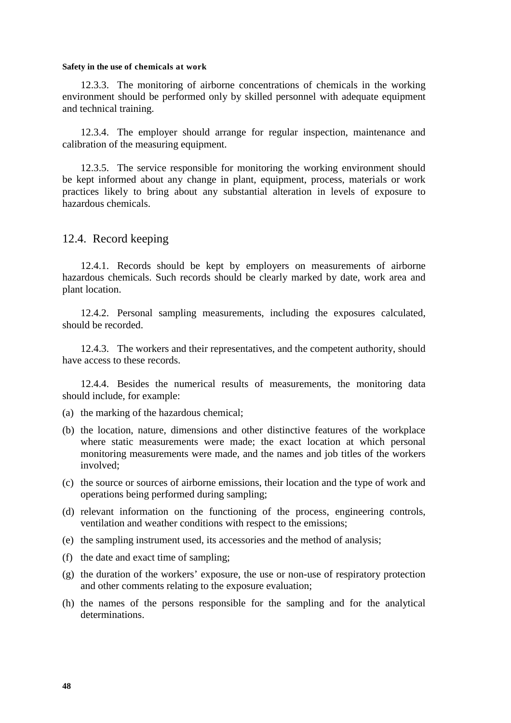12.3.3. The monitoring of airborne concentrations of chemicals in the working environment should be performed only by skilled personnel with adequate equipment and technical training.

12.3.4. The employer should arrange for regular inspection, maintenance and calibration of the measuring equipment.

12.3.5. The service responsible for monitoring the working environment should be kept informed about any change in plant, equipment, process, materials or work practices likely to bring about any substantial alteration in levels of exposure to hazardous chemicals.

### 12.4. Record keeping

12.4.1. Records should be kept by employers on measurements of airborne hazardous chemicals. Such records should be clearly marked by date, work area and plant location.

12.4.2. Personal sampling measurements, including the exposures calculated, should be recorded.

12.4.3. The workers and their representatives, and the competent authority, should have access to these records.

12.4.4. Besides the numerical results of measurements, the monitoring data should include, for example:

- (a) the marking of the hazardous chemical;
- (b) the location, nature, dimensions and other distinctive features of the workplace where static measurements were made; the exact location at which personal monitoring measurements were made, and the names and job titles of the workers involved;
- (c) the source or sources of airborne emissions, their location and the type of work and operations being performed during sampling;
- (d) relevant information on the functioning of the process, engineering controls, ventilation and weather conditions with respect to the emissions;
- (e) the sampling instrument used, its accessories and the method of analysis;
- (f) the date and exact time of sampling;
- (g) the duration of the workers' exposure, the use or non-use of respiratory protection and other comments relating to the exposure evaluation;
- (h) the names of the persons responsible for the sampling and for the analytical determinations.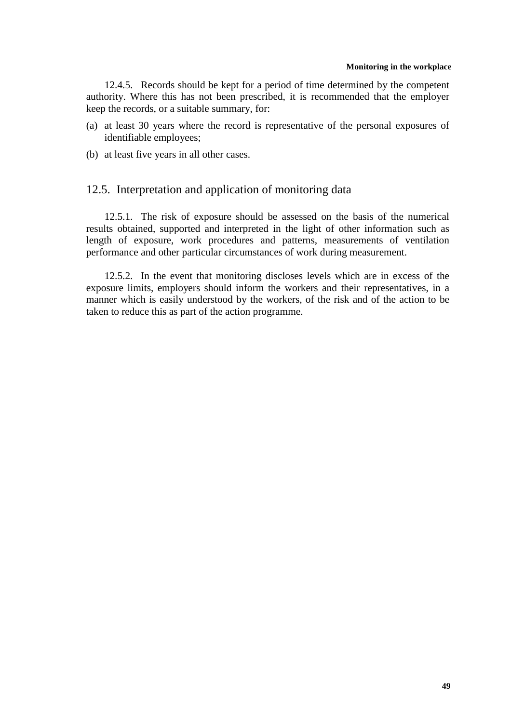#### **Monitoring in the workplace**

12.4.5. Records should be kept for a period of time determined by the competent authority. Where this has not been prescribed, it is recommended that the employer keep the records, or a suitable summary, for:

- (a) at least 30 years where the record is representative of the personal exposures of identifiable employees;
- (b) at least five years in all other cases.

# 12.5. Interpretation and application of monitoring data

12.5.1. The risk of exposure should be assessed on the basis of the numerical results obtained, supported and interpreted in the light of other information such as length of exposure, work procedures and patterns, measurements of ventilation performance and other particular circumstances of work during measurement.

12.5.2. In the event that monitoring discloses levels which are in excess of the exposure limits, employers should inform the workers and their representatives, in a manner which is easily understood by the workers, of the risk and of the action to be taken to reduce this as part of the action programme.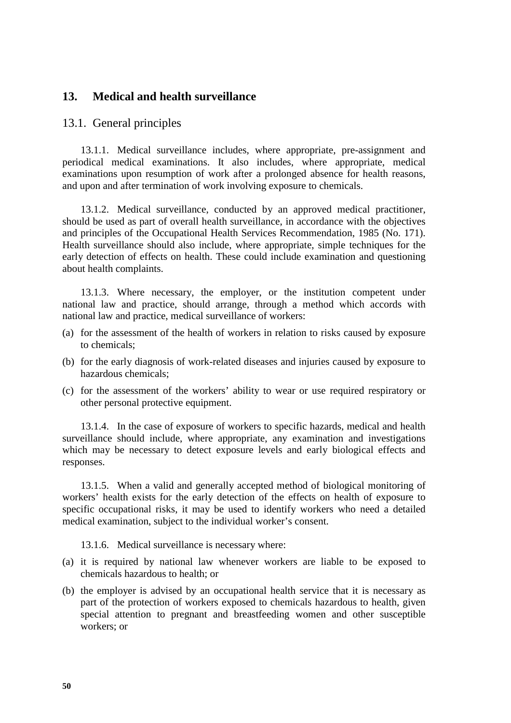# **13. Medical and health surveillance**

## 13.1. General principles

13.1.1. Medical surveillance includes, where appropriate, pre-assignment and periodical medical examinations. It also includes, where appropriate, medical examinations upon resumption of work after a prolonged absence for health reasons, and upon and after termination of work involving exposure to chemicals.

13.1.2. Medical surveillance, conducted by an approved medical practitioner, should be used as part of overall health surveillance, in accordance with the objectives and principles of the Occupational Health Services Recommendation, 1985 (No. 171). Health surveillance should also include, where appropriate, simple techniques for the early detection of effects on health. These could include examination and questioning about health complaints.

13.1.3. Where necessary, the employer, or the institution competent under national law and practice, should arrange, through a method which accords with national law and practice, medical surveillance of workers:

- (a) for the assessment of the health of workers in relation to risks caused by exposure to chemicals;
- (b) for the early diagnosis of work-related diseases and injuries caused by exposure to hazardous chemicals;
- (c) for the assessment of the workers' ability to wear or use required respiratory or other personal protective equipment.

13.1.4. In the case of exposure of workers to specific hazards, medical and health surveillance should include, where appropriate, any examination and investigations which may be necessary to detect exposure levels and early biological effects and responses.

13.1.5. When a valid and generally accepted method of biological monitoring of workers' health exists for the early detection of the effects on health of exposure to specific occupational risks, it may be used to identify workers who need a detailed medical examination, subject to the individual worker's consent.

13.1.6. Medical surveillance is necessary where:

- (a) it is required by national law whenever workers are liable to be exposed to chemicals hazardous to health; or
- (b) the employer is advised by an occupational health service that it is necessary as part of the protection of workers exposed to chemicals hazardous to health, given special attention to pregnant and breastfeeding women and other susceptible workers; or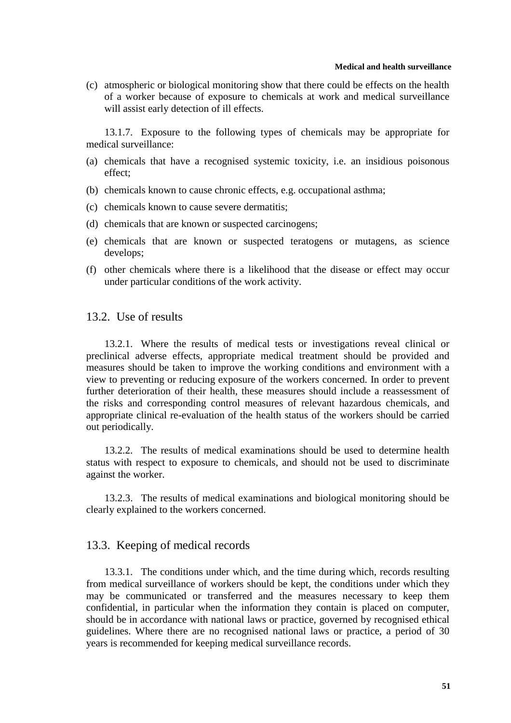#### **Medical and health surveillance**

(c) atmospheric or biological monitoring show that there could be effects on the health of a worker because of exposure to chemicals at work and medical surveillance will assist early detection of ill effects.

13.1.7. Exposure to the following types of chemicals may be appropriate for medical surveillance:

- (a) chemicals that have a recognised systemic toxicity, i.e. an insidious poisonous effect;
- (b) chemicals known to cause chronic effects, e.g. occupational asthma;
- (c) chemicals known to cause severe dermatitis;
- (d) chemicals that are known or suspected carcinogens;
- (e) chemicals that are known or suspected teratogens or mutagens, as science develops;
- (f) other chemicals where there is a likelihood that the disease or effect may occur under particular conditions of the work activity.

## 13.2. Use of results

13.2.1. Where the results of medical tests or investigations reveal clinical or preclinical adverse effects, appropriate medical treatment should be provided and measures should be taken to improve the working conditions and environment with a view to preventing or reducing exposure of the workers concerned. In order to prevent further deterioration of their health, these measures should include a reassessment of the risks and corresponding control measures of relevant hazardous chemicals, and appropriate clinical re-evaluation of the health status of the workers should be carried out periodically.

13.2.2. The results of medical examinations should be used to determine health status with respect to exposure to chemicals, and should not be used to discriminate against the worker.

13.2.3. The results of medical examinations and biological monitoring should be clearly explained to the workers concerned.

### 13.3. Keeping of medical records

13.3.1. The conditions under which, and the time during which, records resulting from medical surveillance of workers should be kept, the conditions under which they may be communicated or transferred and the measures necessary to keep them confidential, in particular when the information they contain is placed on computer, should be in accordance with national laws or practice, governed by recognised ethical guidelines. Where there are no recognised national laws or practice, a period of 30 years is recommended for keeping medical surveillance records.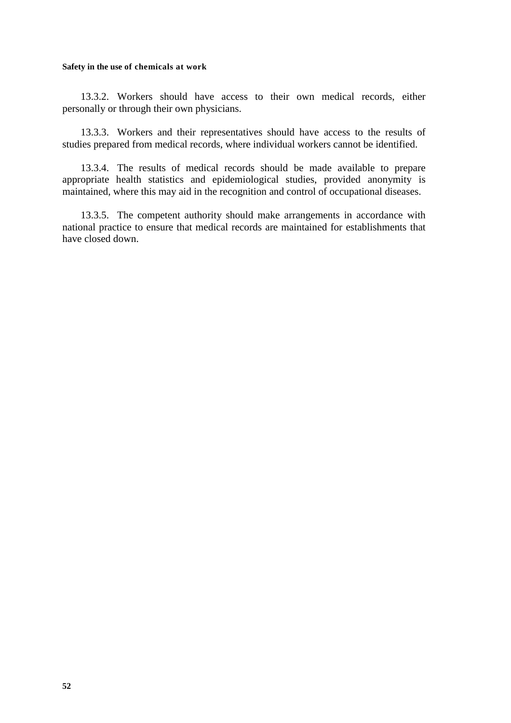13.3.2. Workers should have access to their own medical records, either personally or through their own physicians.

13.3.3. Workers and their representatives should have access to the results of studies prepared from medical records, where individual workers cannot be identified.

13.3.4. The results of medical records should be made available to prepare appropriate health statistics and epidemiological studies, provided anonymity is maintained, where this may aid in the recognition and control of occupational diseases.

13.3.5. The competent authority should make arrangements in accordance with national practice to ensure that medical records are maintained for establishments that have closed down.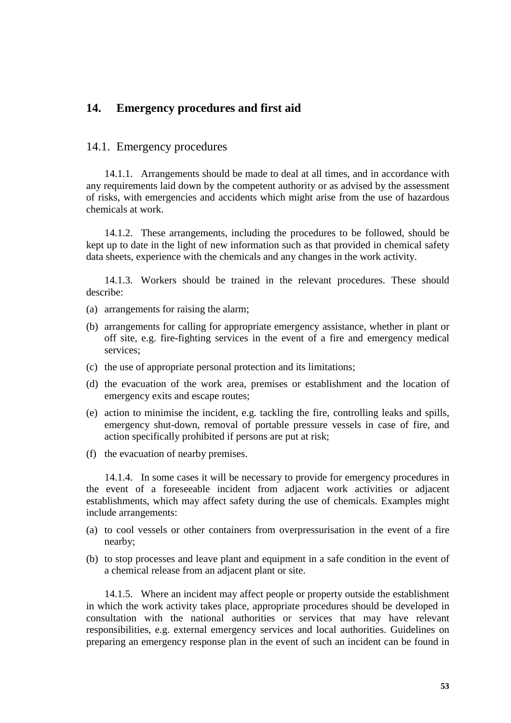# **14. Emergency procedures and first aid**

### 14.1. Emergency procedures

14.1.1. Arrangements should be made to deal at all times, and in accordance with any requirements laid down by the competent authority or as advised by the assessment of risks, with emergencies and accidents which might arise from the use of hazardous chemicals at work.

14.1.2. These arrangements, including the procedures to be followed, should be kept up to date in the light of new information such as that provided in chemical safety data sheets, experience with the chemicals and any changes in the work activity.

14.1.3. Workers should be trained in the relevant procedures. These should describe:

- (a) arrangements for raising the alarm;
- (b) arrangements for calling for appropriate emergency assistance, whether in plant or off site, e.g. fire-fighting services in the event of a fire and emergency medical services;
- (c) the use of appropriate personal protection and its limitations;
- (d) the evacuation of the work area, premises or establishment and the location of emergency exits and escape routes;
- (e) action to minimise the incident, e.g. tackling the fire, controlling leaks and spills, emergency shut-down, removal of portable pressure vessels in case of fire, and action specifically prohibited if persons are put at risk;
- (f) the evacuation of nearby premises.

14.1.4. In some cases it will be necessary to provide for emergency procedures in the event of a foreseeable incident from adjacent work activities or adjacent establishments, which may affect safety during the use of chemicals. Examples might include arrangements:

- (a) to cool vessels or other containers from overpressurisation in the event of a fire nearby;
- (b) to stop processes and leave plant and equipment in a safe condition in the event of a chemical release from an adjacent plant or site.

14.1.5. Where an incident may affect people or property outside the establishment in which the work activity takes place, appropriate procedures should be developed in consultation with the national authorities or services that may have relevant responsibilities, e.g. external emergency services and local authorities. Guidelines on preparing an emergency response plan in the event of such an incident can be found in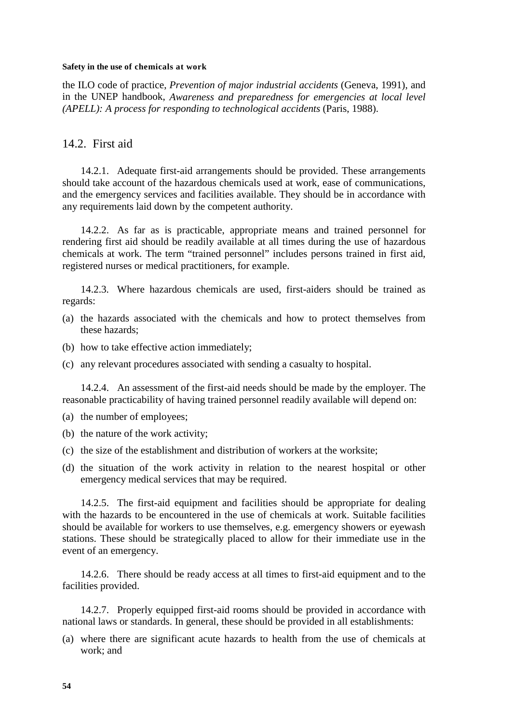the ILO code of practice, *Prevention of major industrial accidents* (Geneva, 1991), and in the UNEP handbook, *Awareness and preparedness for emergencies at local level (APELL): A process for responding to technological accidents (Paris, 1988).* 

### 14.2. First aid

14.2.1. Adequate first-aid arrangements should be provided. These arrangements should take account of the hazardous chemicals used at work, ease of communications, and the emergency services and facilities available. They should be in accordance with any requirements laid down by the competent authority.

14.2.2. As far as is practicable, appropriate means and trained personnel for rendering first aid should be readily available at all times during the use of hazardous chemicals at work. The term "trained personnel" includes persons trained in first aid, registered nurses or medical practitioners, for example.

14.2.3. Where hazardous chemicals are used, first-aiders should be trained as regards:

- (a) the hazards associated with the chemicals and how to protect themselves from these hazards;
- (b) how to take effective action immediately;
- (c) any relevant procedures associated with sending a casualty to hospital.

14.2.4. An assessment of the first-aid needs should be made by the employer. The reasonable practicability of having trained personnel readily available will depend on:

- (a) the number of employees;
- (b) the nature of the work activity;
- (c) the size of the establishment and distribution of workers at the worksite;
- (d) the situation of the work activity in relation to the nearest hospital or other emergency medical services that may be required.

14.2.5. The first-aid equipment and facilities should be appropriate for dealing with the hazards to be encountered in the use of chemicals at work. Suitable facilities should be available for workers to use themselves, e.g. emergency showers or eyewash stations. These should be strategically placed to allow for their immediate use in the event of an emergency.

14.2.6. There should be ready access at all times to first-aid equipment and to the facilities provided.

14.2.7. Properly equipped first-aid rooms should be provided in accordance with national laws or standards. In general, these should be provided in all establishments:

(a) where there are significant acute hazards to health from the use of chemicals at work; and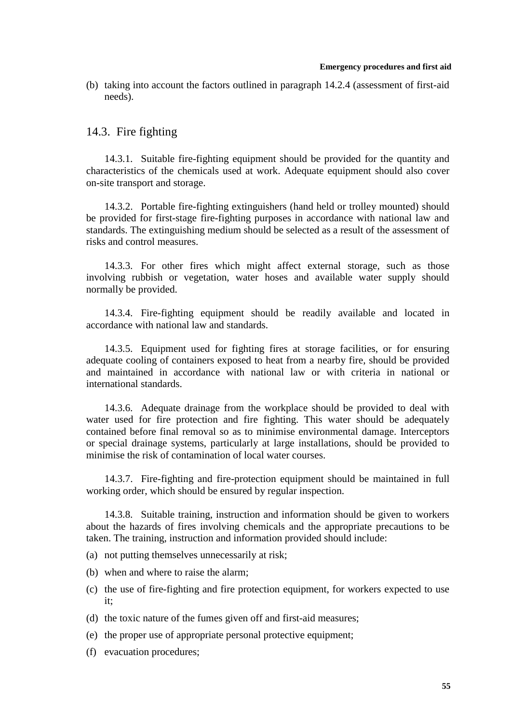#### **Emergency procedures and first aid**

(b) taking into account the factors outlined in paragraph 14.2.4 (assessment of first-aid needs).

### 14.3. Fire fighting

14.3.1. Suitable fire-fighting equipment should be provided for the quantity and characteristics of the chemicals used at work. Adequate equipment should also cover on-site transport and storage.

14.3.2. Portable fire-fighting extinguishers (hand held or trolley mounted) should be provided for first-stage fire-fighting purposes in accordance with national law and standards. The extinguishing medium should be selected as a result of the assessment of risks and control measures.

14.3.3. For other fires which might affect external storage, such as those involving rubbish or vegetation, water hoses and available water supply should normally be provided.

14.3.4. Fire-fighting equipment should be readily available and located in accordance with national law and standards.

14.3.5. Equipment used for fighting fires at storage facilities, or for ensuring adequate cooling of containers exposed to heat from a nearby fire, should be provided and maintained in accordance with national law or with criteria in national or international standards.

14.3.6. Adequate drainage from the workplace should be provided to deal with water used for fire protection and fire fighting. This water should be adequately contained before final removal so as to minimise environmental damage. Interceptors or special drainage systems, particularly at large installations, should be provided to minimise the risk of contamination of local water courses.

14.3.7. Fire-fighting and fire-protection equipment should be maintained in full working order, which should be ensured by regular inspection.

14.3.8. Suitable training, instruction and information should be given to workers about the hazards of fires involving chemicals and the appropriate precautions to be taken. The training, instruction and information provided should include:

(a) not putting themselves unnecessarily at risk;

- (b) when and where to raise the alarm;
- (c) the use of fire-fighting and fire protection equipment, for workers expected to use it;
- (d) the toxic nature of the fumes given off and first-aid measures;
- (e) the proper use of appropriate personal protective equipment;
- (f) evacuation procedures;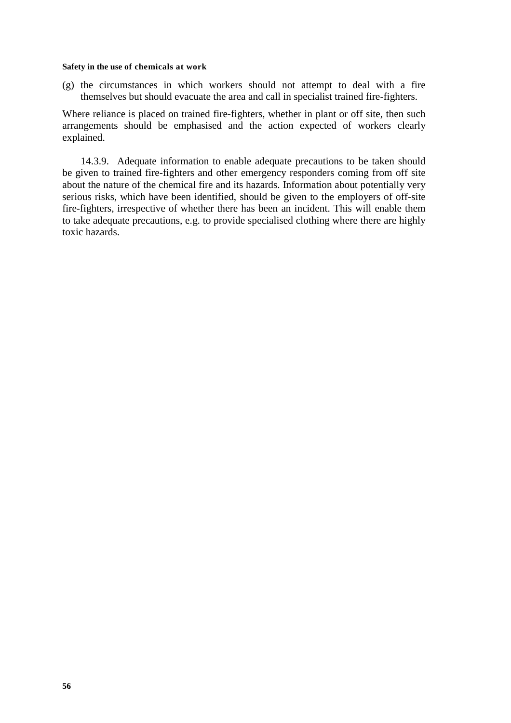(g) the circumstances in which workers should not attempt to deal with a fire themselves but should evacuate the area and call in specialist trained fire-fighters.

Where reliance is placed on trained fire-fighters, whether in plant or off site, then such arrangements should be emphasised and the action expected of workers clearly explained.

14.3.9. Adequate information to enable adequate precautions to be taken should be given to trained fire-fighters and other emergency responders coming from off site about the nature of the chemical fire and its hazards. Information about potentially very serious risks, which have been identified, should be given to the employers of off-site fire-fighters, irrespective of whether there has been an incident. This will enable them to take adequate precautions, e.g. to provide specialised clothing where there are highly toxic hazards.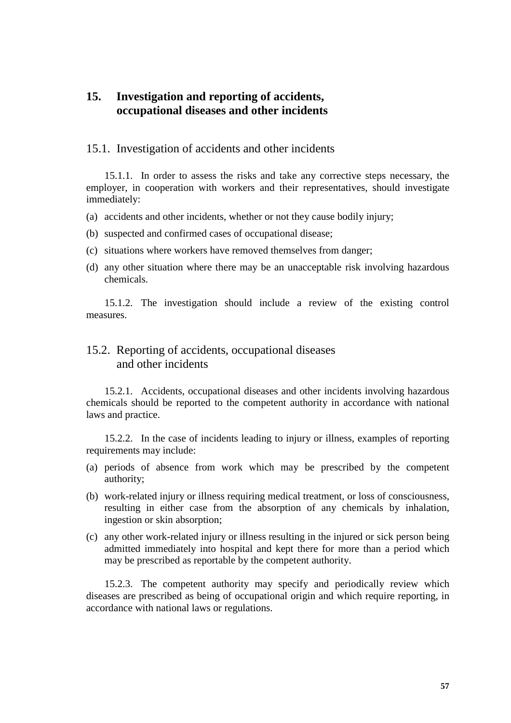# **15. Investigation and reporting of accidents, occupational diseases and other incidents**

## 15.1. Investigation of accidents and other incidents

15.1.1. In order to assess the risks and take any corrective steps necessary, the employer, in cooperation with workers and their representatives, should investigate immediately:

- (a) accidents and other incidents, whether or not they cause bodily injury;
- (b) suspected and confirmed cases of occupational disease;
- (c) situations where workers have removed themselves from danger;
- (d) any other situation where there may be an unacceptable risk involving hazardous chemicals.

15.1.2. The investigation should include a review of the existing control measures.

# 15.2. Reporting of accidents, occupational diseases and other incidents

15.2.1. Accidents, occupational diseases and other incidents involving hazardous chemicals should be reported to the competent authority in accordance with national laws and practice.

15.2.2. In the case of incidents leading to injury or illness, examples of reporting requirements may include:

- (a) periods of absence from work which may be prescribed by the competent authority;
- (b) work-related injury or illness requiring medical treatment, or loss of consciousness, resulting in either case from the absorption of any chemicals by inhalation, ingestion or skin absorption;
- (c) any other work-related injury or illness resulting in the injured or sick person being admitted immediately into hospital and kept there for more than a period which may be prescribed as reportable by the competent authority.

15.2.3. The competent authority may specify and periodically review which diseases are prescribed as being of occupational origin and which require reporting, in accordance with national laws or regulations.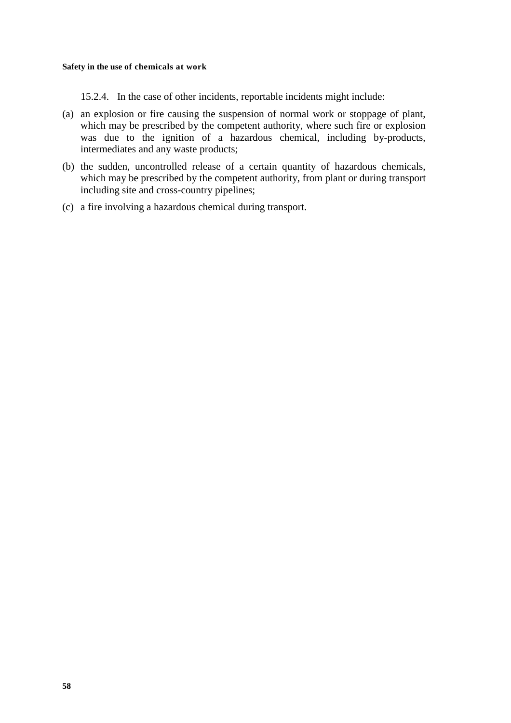15.2.4. In the case of other incidents, reportable incidents might include:

- (a) an explosion or fire causing the suspension of normal work or stoppage of plant, which may be prescribed by the competent authority, where such fire or explosion was due to the ignition of a hazardous chemical, including by-products, intermediates and any waste products;
- (b) the sudden, uncontrolled release of a certain quantity of hazardous chemicals, which may be prescribed by the competent authority, from plant or during transport including site and cross-country pipelines;
- (c) a fire involving a hazardous chemical during transport.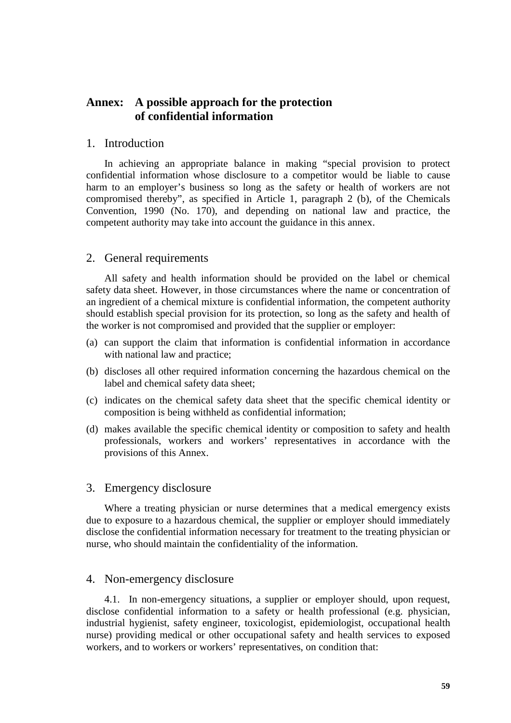# **Annex: A possible approach for the protection of confidential information**

### 1. Introduction

In achieving an appropriate balance in making "special provision to protect confidential information whose disclosure to a competitor would be liable to cause harm to an employer's business so long as the safety or health of workers are not compromised thereby", as specified in Article 1, paragraph 2 (b), of the Chemicals Convention, 1990 (No. 170), and depending on national law and practice, the competent authority may take into account the guidance in this annex.

## 2. General requirements

All safety and health information should be provided on the label or chemical safety data sheet. However, in those circumstances where the name or concentration of an ingredient of a chemical mixture is confidential information, the competent authority should establish special provision for its protection, so long as the safety and health of the worker is not compromised and provided that the supplier or employer:

- (a) can support the claim that information is confidential information in accordance with national law and practice;
- (b) discloses all other required information concerning the hazardous chemical on the label and chemical safety data sheet;
- (c) indicates on the chemical safety data sheet that the specific chemical identity or composition is being withheld as confidential information;
- (d) makes available the specific chemical identity or composition to safety and health professionals, workers and workers' representatives in accordance with the provisions of this Annex.

### 3. Emergency disclosure

Where a treating physician or nurse determines that a medical emergency exists due to exposure to a hazardous chemical, the supplier or employer should immediately disclose the confidential information necessary for treatment to the treating physician or nurse, who should maintain the confidentiality of the information.

## 4. Non-emergency disclosure

4.1. In non-emergency situations, a supplier or employer should, upon request, disclose confidential information to a safety or health professional (e.g. physician, industrial hygienist, safety engineer, toxicologist, epidemiologist, occupational health nurse) providing medical or other occupational safety and health services to exposed workers, and to workers or workers' representatives, on condition that: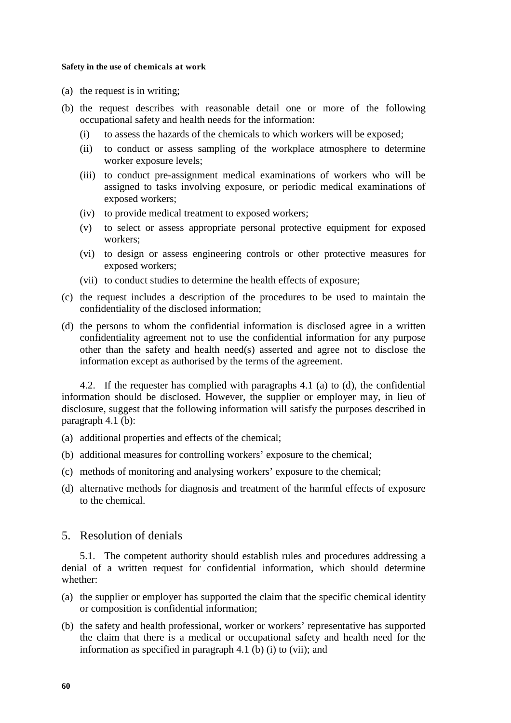- (a) the request is in writing;
- (b) the request describes with reasonable detail one or more of the following occupational safety and health needs for the information:
	- (i) to assess the hazards of the chemicals to which workers will be exposed;
	- (ii) to conduct or assess sampling of the workplace atmosphere to determine worker exposure levels;
	- (iii) to conduct pre-assignment medical examinations of workers who will be assigned to tasks involving exposure, or periodic medical examinations of exposed workers;
	- (iv) to provide medical treatment to exposed workers;
	- (v) to select or assess appropriate personal protective equipment for exposed workers;
	- (vi) to design or assess engineering controls or other protective measures for exposed workers;
	- (vii) to conduct studies to determine the health effects of exposure;
- (c) the request includes a description of the procedures to be used to maintain the confidentiality of the disclosed information;
- (d) the persons to whom the confidential information is disclosed agree in a written confidentiality agreement not to use the confidential information for any purpose other than the safety and health need(s) asserted and agree not to disclose the information except as authorised by the terms of the agreement.

4.2. If the requester has complied with paragraphs 4.1 (a) to (d), the confidential information should be disclosed. However, the supplier or employer may, in lieu of disclosure, suggest that the following information will satisfy the purposes described in paragraph 4.1 (b):

- (a) additional properties and effects of the chemical;
- (b) additional measures for controlling workers' exposure to the chemical;
- (c) methods of monitoring and analysing workers' exposure to the chemical;
- (d) alternative methods for diagnosis and treatment of the harmful effects of exposure to the chemical.

## 5. Resolution of denials

5.1. The competent authority should establish rules and procedures addressing a denial of a written request for confidential information, which should determine whether:

- (a) the supplier or employer has supported the claim that the specific chemical identity or composition is confidential information;
- (b) the safety and health professional, worker or workers' representative has supported the claim that there is a medical or occupational safety and health need for the information as specified in paragraph 4.1 (b) (i) to (vii); and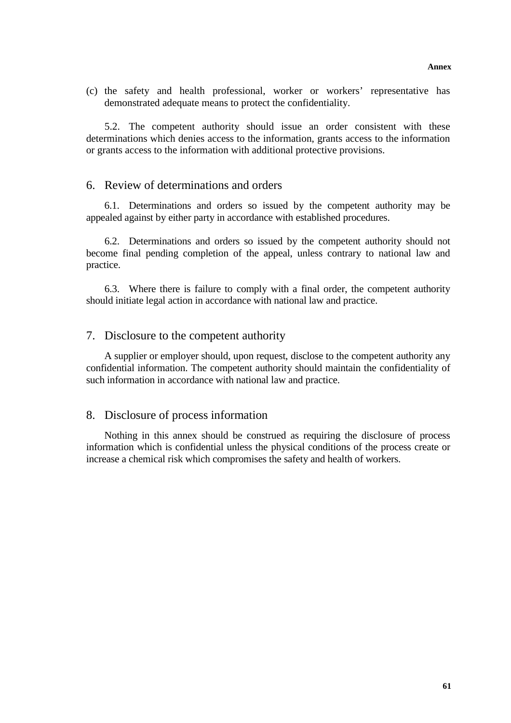(c) the safety and health professional, worker or workers' representative has demonstrated adequate means to protect the confidentiality.

5.2. The competent authority should issue an order consistent with these determinations which denies access to the information, grants access to the information or grants access to the information with additional protective provisions.

## 6. Review of determinations and orders

6.1. Determinations and orders so issued by the competent authority may be appealed against by either party in accordance with established procedures.

6.2. Determinations and orders so issued by the competent authority should not become final pending completion of the appeal, unless contrary to national law and practice.

6.3. Where there is failure to comply with a final order, the competent authority should initiate legal action in accordance with national law and practice.

## 7. Disclosure to the competent authority

A supplier or employer should, upon request, disclose to the competent authority any confidential information. The competent authority should maintain the confidentiality of such information in accordance with national law and practice.

## 8. Disclosure of process information

Nothing in this annex should be construed as requiring the disclosure of process information which is confidential unless the physical conditions of the process create or increase a chemical risk which compromises the safety and health of workers.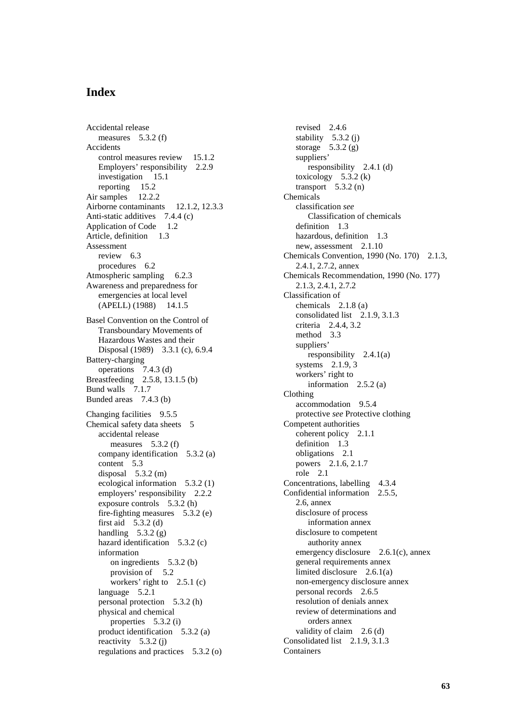## **Index**

Accidental release measures  $5.3.2$  (f) Accidents control measures review 15.1.2 Employers' responsibility 2.2.9 investigation 15.1 reporting 15.2 Air samples 12.2.2 Airborne contaminants 12.1.2, 12.3.3 Anti-static additives 7.4.4 (c) Application of Code 1.2 Article, definition 1.3 Assessment review 6.3 procedures 6.2 Atmospheric sampling 6.2.3 Awareness and preparedness for emergencies at local level (APELL) (1988) 14.1.5 Basel Convention on the Control of Transboundary Movements of Hazardous Wastes and their Disposal (1989) 3.3.1 (c), 6.9.4 Battery-charging operations 7.4.3 (d) Breastfeeding 2.5.8, 13.1.5 (b) Bund walls 7.1.7 Bunded areas 7.4.3 (b) Changing facilities 9.5.5 Chemical safety data sheets 5 accidental release measures  $5.3.2$  (f) company identification 5.3.2 (a) content 5.3 disposal  $5.3.2$  (m) ecological information 5.3.2 (1) employers' responsibility 2.2.2 exposure controls 5.3.2 (h) fire-fighting measures 5.3.2 (e) first aid 5.3.2 (d) handling  $5.3.2$  (g) hazard identification 5.3.2 (c) information on ingredients 5.3.2 (b) provision of 5.2 workers' right to 2.5.1 (c) language 5.2.1 personal protection 5.3.2 (h) physical and chemical properties 5.3.2 (i) product identification 5.3.2 (a) reactivity  $5.3.2$  (j) regulations and practices 5.3.2 (o)

revised 2.4.6 stability  $5.3.2$  (j) storage  $5.3.2$  (g) suppliers' responsibility 2.4.1 (d) toxicology 5.3.2 (k) transport  $5.3.2$  (n) Chemicals classification *see* Classification of chemicals definition 1.3 hazardous, definition 1.3 new, assessment 2.1.10 Chemicals Convention, 1990 (No. 170) 2.1.3, 2.4.1, 2.7.2, annex Chemicals Recommendation, 1990 (No. 177) 2.1.3, 2.4.1, 2.7.2 Classification of chemicals  $2.1.8$  (a) consolidated list 2.1.9, 3.1.3 criteria 2.4.4, 3.2 method 3.3 suppliers' responsibility  $2.4.1(a)$ systems 2.1.9, 3 workers' right to information  $2.5.2$  (a) Clothing accommodation 9.5.4 protective *see* Protective clothing Competent authorities coherent policy 2.1.1 definition 1.3 obligations 2.1 powers 2.1.6, 2.1.7 role 2.1 Concentrations, labelling 4.3.4 Confidential information 2.5.5, 2.6, annex disclosure of process information annex disclosure to competent authority annex emergency disclosure 2.6.1(c), annex general requirements annex limited disclosure  $2.6.1(a)$ non-emergency disclosure annex personal records 2.6.5 resolution of denials annex review of determinations and orders annex validity of claim 2.6 (d) Consolidated list 2.1.9, 3.1.3 Containers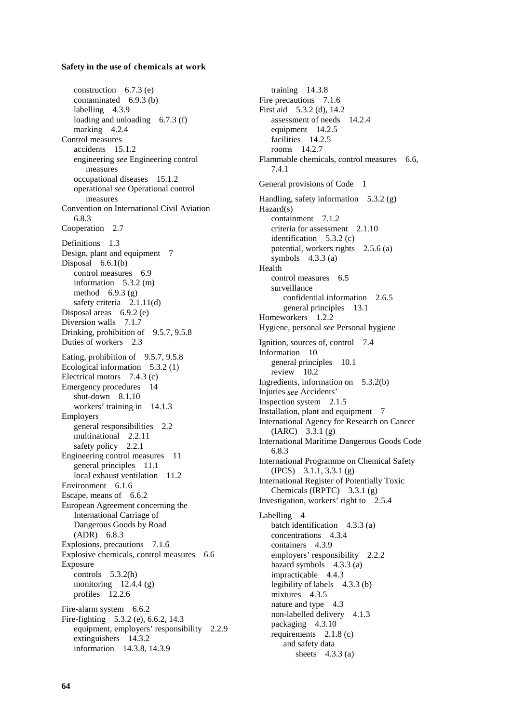#### **Safety in the use of chemicals at work**

construction  $6.7.3$  (e) contaminated 6.9.3 (b) labelling 4.3.9 loading and unloading 6.7.3 (f) marking 4.2.4 Control measures accidents 15.1.2 engineering *see* Engineering control measures occupational diseases 15.1.2 operational *see* Operational control measures Convention on International Civil Aviation 6.8.3 Cooperation 2.7 Definitions 1.3 Design, plant and equipment 7 Disposal  $6.6.1(b)$ control measures 6.9 information 5.3.2 (m) method  $6.9.3$  (g) safety criteria  $2.1.11(d)$ Disposal areas 6.9.2 (e) Diversion walls 7.1.7 Drinking, prohibition of 9.5.7, 9.5.8 Duties of workers 2.3 Eating, prohibition of 9.5.7, 9.5.8 Ecological information 5.3.2 (1) Electrical motors 7.4.3 (c) Emergency procedures 14 shut-down 8.1.10 workers' training in 14.1.3 Employers general responsibilities 2.2 multinational 2.2.11 safety policy 2.2.1 Engineering control measures 11 general principles 11.1 local exhaust ventilation 11.2 Environment 6.1.6 Escape, means of 6.6.2 European Agreement concerning the International Carriage of Dangerous Goods by Road (ADR) 6.8.3 Explosions, precautions 7.1.6 Explosive chemicals, control measures 6.6 Exposure controls 5.3.2(h) monitoring  $12.4.4$  (g) profiles 12.2.6 Fire-alarm system 6.6.2 Fire-fighting 5.3.2 (e), 6.6.2, 14.3 equipment, employers' responsibility 2.2.9 extinguishers 14.3.2 information 14.3.8, 14.3.9

training 14.3.8 Fire precautions 7.1.6 First aid 5.3.2 (d), 14.2 assessment of needs 14.2.4 equipment 14.2.5 facilities 14.2.5 rooms 14.2.7 Flammable chemicals, control measures 6.6, 7.4.1 General provisions of Code 1 Handling, safety information 5.3.2 (g) Hazard(s) containment 7.1.2 criteria for assessment 2.1.10 identification  $5.3.2$  (c) potential, workers rights 2.5.6 (a) symbols  $4.3.3$  (a) Health control measures 6.5 surveillance confidential information 2.6.5 general principles 13.1 Homeworkers 1.2.2 Hygiene, personal *see* Personal hygiene Ignition, sources of, control 7.4 Information 10 general principles 10.1 review 10.2 Ingredients, information on 5.3.2(b) Injuries *see* Accidents' Inspection system 2.1.5 Installation, plant and equipment 7 International Agency for Research on Cancer  $(IARC)$  3.3.1 (g) International Maritime Dangerous Goods Code 6.8.3 International Programme on Chemical Safety (IPCS) 3.1.1, 3.3.1 (g) International Register of Potentially Toxic Chemicals (IRPTC)  $3.3.1$  (g) Investigation, workers' right to 2.5.4 Labelling 4 batch identification 4.3.3 (a) concentrations 4.3.4 containers 4.3.9 employers' responsibility 2.2.2 hazard symbols 4.3.3 (a) impracticable 4.4.3 legibility of labels 4.3.3 (b) mixtures 4.3.5 nature and type 4.3 non-labelled delivery 4.1.3 packaging 4.3.10 requirements 2.1.8 (c) and safety data sheets  $4.3.3$  (a)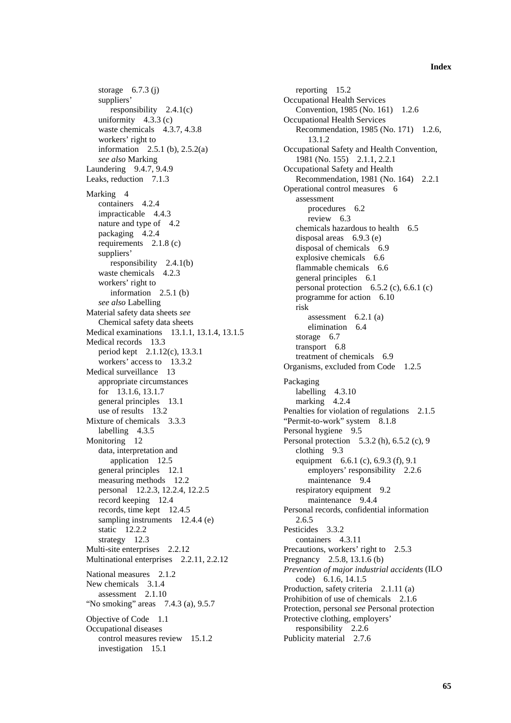#### **Index**

storage  $6.7.3$  (j) suppliers' responsibility  $2.4.1(c)$ uniformity  $4.3.3$  (c) waste chemicals 4.3.7, 4.3.8 workers' right to information 2.5.1 (b), 2.5.2(a) *see also* Marking Laundering 9.4.7, 9.4.9 Leaks, reduction 7.1.3 Marking 4 containers 4.2.4 impracticable 4.4.3 nature and type of 4.2 packaging 4.2.4 requirements 2.1.8 (c) suppliers' responsibility  $2.4.1(b)$ waste chemicals 4.2.3 workers' right to information  $2.5.1$  (b) *see also* Labelling Material safety data sheets *see* Chemical safety data sheets Medical examinations 13.1.1, 13.1.4, 13.1.5 Medical records 13.3 period kept 2.1.12(c), 13.3.1 workers' access to 13.3.2 Medical surveillance 13 appropriate circumstances for 13.1.6, 13.1.7 general principles 13.1 use of results 13.2 Mixture of chemicals 3.3.3 labelling 4.3.5 Monitoring 12 data, interpretation and application 12.5 general principles 12.1 measuring methods 12.2 personal 12.2.3, 12.2.4, 12.2.5 record keeping 12.4 records, time kept 12.4.5 sampling instruments 12.4.4 (e) static 12.2.2 strategy 12.3 Multi-site enterprises 2.2.12 Multinational enterprises 2.2.11, 2.2.12 National measures 2.1.2 New chemicals 3.1.4 assessment 2.1.10 "No smoking" areas 7.4.3 (a), 9.5.7 Objective of Code 1.1 Occupational diseases control measures review 15.1.2 investigation 15.1

reporting 15.2 Occupational Health Services Convention, 1985 (No. 161) 1.2.6 Occupational Health Services Recommendation, 1985 (No. 171) 1.2.6, 13.1.2 Occupational Safety and Health Convention, 1981 (No. 155) 2.1.1, 2.2.1 Occupational Safety and Health Recommendation, 1981 (No. 164) 2.2.1 Operational control measures 6 assessment procedures 6.2 review 6.3 chemicals hazardous to health 6.5 disposal areas 6.9.3 (e) disposal of chemicals 6.9 explosive chemicals 6.6 flammable chemicals 6.6 general principles 6.1 personal protection  $6.5.2$  (c),  $6.6.1$  (c) programme for action 6.10 risk assessment  $6.2.1$  (a) elimination 6.4 storage 6.7 transport 6.8 treatment of chemicals 6.9 Organisms, excluded from Code 1.2.5 Packaging labelling 4.3.10 marking 4.2.4 Penalties for violation of regulations 2.1.5 "Permit-to-work" system 8.1.8 Personal hygiene 9.5 Personal protection 5.3.2 (h), 6.5.2 (c), 9 clothing 9.3 equipment 6.6.1 (c), 6.9.3 (f), 9.1 employers' responsibility 2.2.6 maintenance 9.4 respiratory equipment 9.2 maintenance 9.4.4 Personal records, confidential information 2.6.5 Pesticides 3.3.2 containers 4.3.11 Precautions, workers' right to 2.5.3 Pregnancy 2.5.8, 13.1.6 (b) *Prevention of major industrial accidents* (ILO code) 6.1.6, 14.1.5 Production, safety criteria 2.1.11 (a) Prohibition of use of chemicals 2.1.6 Protection, personal *see* Personal protection Protective clothing, employers' responsibility 2.2.6 Publicity material 2.7.6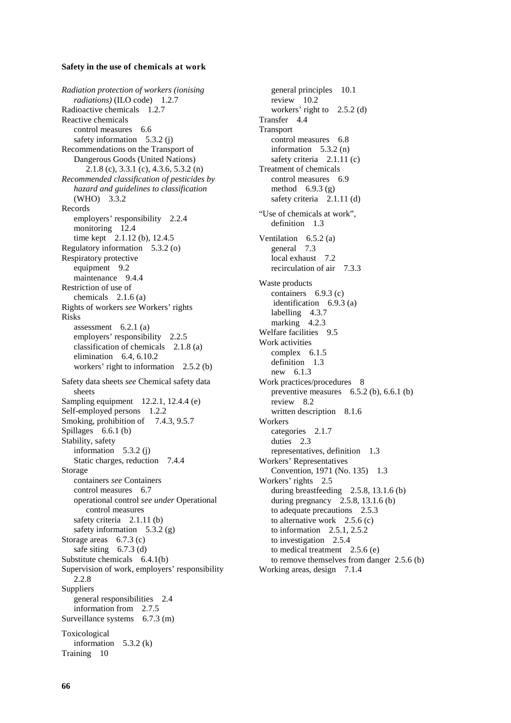#### **Safety in the use of chemicals at work**

*Radiation protection of workers (ionising radiations)* (ILO code) 1.2.7 Radioactive chemicals 1.2.7 Reactive chemicals control measures 6.6 safety information  $5.3.2$  (j) Recommendations on the Transport of Dangerous Goods (United Nations) 2.1.8 (c), 3.3.1 (c), 4.3.6, 5.3.2 (n) *Recommended classification of pesticides by hazard and guidelines to classification* (WHO) 3.3.2 Records employers' responsibility 2.2.4 monitoring 12.4 time kept 2.1.12 (b), 12.4.5 Regulatory information 5.3.2 (o) Respiratory protective equipment 9.2 maintenance 9.4.4 Restriction of use of chemicals 2.1.6 (a) Rights of workers *see* Workers' rights Risks assessment 6.2.1 (a) employers' responsibility 2.2.5 classification of chemicals 2.1.8 (a) elimination 6.4, 6.10.2 workers' right to information 2.5.2 (b) Safety data sheets *see* Chemical safety data sheets Sampling equipment 12.2.1, 12.4.4 (e) Self-employed persons 1.2.2 Smoking, prohibition of 7.4.3, 9.5.7 Spillages 6.6.1 (b) Stability, safety information  $5.3.2$  (j) Static charges, reduction 7.4.4 Storage containers *see* Containers control measures 6.7 operational control *see under* Operational control measures safety criteria 2.1.11 (b) safety information  $5.3.2$  (g) Storage areas 6.7.3 (c) safe siting  $6.7.3$  (d) Substitute chemicals 6.4.1(b) Supervision of work, employers' responsibility 2.2.8 Suppliers general responsibilities 2.4 information from 2.7.5 Surveillance systems 6.7.3 (m) Toxicological information  $5.3.2$  (k) Training 10

general principles 10.1 review 10.2 workers' right to  $2.5.2$  (d) Transfer 4.4 Transport control measures 6.8 information 5.3.2 (n) safety criteria  $2.1.11$  (c) Treatment of chemicals control measures 6.9 method  $6.9.3$  (g) safety criteria 2.1.11 (d) "Use of chemicals at work", definition 1.3 Ventilation  $6.5.2$  (a) general 7.3 local exhaust 7.2 recirculation of air 7.3.3 Waste products containers 6.9.3 (c) identification 6.9.3 (a) labelling 4.3.7 marking 4.2.3 Welfare facilities 9.5 Work activities complex 6.1.5 definition 1.3 new 6.1.3 Work practices/procedures 8 preventive measures  $6.5.2$  (b),  $6.6.1$  (b) review 8.2 written description 8.1.6 **Workers** categories 2.1.7 duties 2.3 representatives, definition 1.3 Workers' Representatives Convention, 1971 (No. 135) 1.3 Workers' rights 2.5 during breastfeeding 2.5.8*,* 13.1.6 (b) during pregnancy 2.5.8, 13.1.6 (b) to adequate precautions 2.5.3 to alternative work  $2.5.6$  (c) to information 2.5.1, 2.5.2 to investigation 2.5.4 to medical treatment  $2.5.6$  (e) to remove themselves from danger 2.5.6 (b) Working areas, design 7.1.4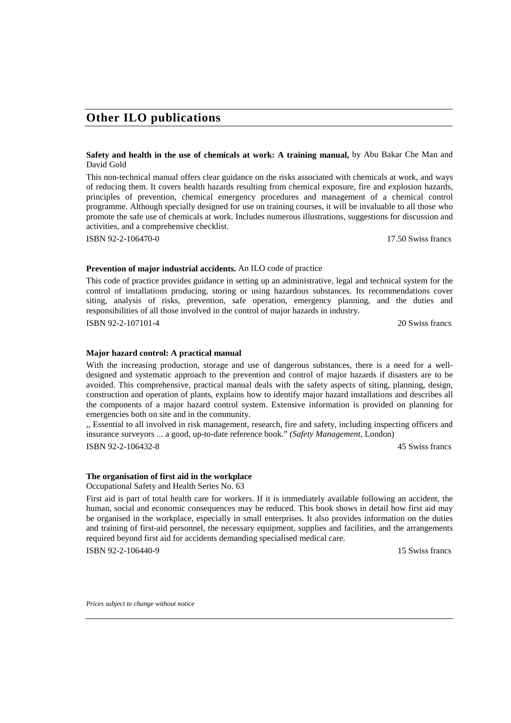#### programme. Although specially designed for use on training courses, it will be invaluable to all those who promote the safe use of chemicals at work. Includes numerous illustrations, suggestions for discussion and activities, and a comprehensive checklist.

ISBN 92-2-106470-0 17.50 Swiss francs

David Gold

### **Prevention of major industrial accidents.** An ILO code of practice

This code of practice provides guidance in setting up an administrative, legal and technical system for the control of installations producing, storing or using hazardous substances. Its recommendations cover siting, analysis of risks, prevention, safe operation, emergency planning, and the duties and responsibilities of all those involved in the control of major hazards in industry.

Safety and health in the use of chemicals at work: A training manual, by Abu Bakar Che Man and

This non-technical manual offers clear guidance on the risks associated with chemicals at work, and ways of reducing them. It covers health hazards resulting from chemical exposure, fire and explosion hazards, principles of prevention, chemical emergency procedures and management of a chemical control

ISBN 92-2-107101-4 20 Swiss francs

#### **Major hazard control: A practical manual**

With the increasing production, storage and use of dangerous substances, there is a need for a welldesigned and systematic approach to the prevention and control of major hazards if disasters are to be avoided. This comprehensive, practical manual deals with the safety aspects of siting, planning, design, construction and operation of plants, explains how to identify major hazard installations and describes all the components of a major hazard control system. Extensive information is provided on planning for emergencies both on site and in the community.

,, Essential to all involved in risk management, research, fire and safety, including inspecting officers and insurance surveyors ... a good, up-to-date reference book." *(Safety Management,* London)

ISBN 92-2-106432-8 45 Swiss francs

#### **The organisation of first aid in the workplace**

Occupational Safety and Health Series No. 63

First aid is part of total health care for workers. If it is immediately available following an accident, the human, social and economic consequences may be reduced. This book shows in detail how first aid may be organised in the workplace, especially in small enterprises. It also provides information on the duties and training of first-aid personnel, the necessary equipment, supplies and facilities, and the arrangements required beyond first aid for accidents demanding specialised medical care.

ISBN 92-2-106440-9 15 Swiss francs

*Prices subject to change without notice*

**Other ILO publications**